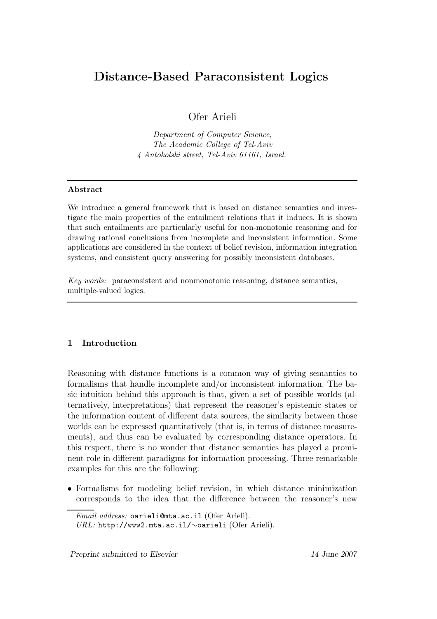# Distance-Based Paraconsistent Logics

Ofer Arieli

Department of Computer Science, The Academic College of Tel-Aviv 4 Antokolski street, Tel-Aviv 61161, Israel.

# Abstract

We introduce a general framework that is based on distance semantics and investigate the main properties of the entailment relations that it induces. It is shown that such entailments are particularly useful for non-monotonic reasoning and for drawing rational conclusions from incomplete and inconsistent information. Some applications are considered in the context of belief revision, information integration systems, and consistent query answering for possibly inconsistent databases.

Key words: paraconsistent and nonmonotonic reasoning, distance semantics, multiple-valued logics.

# 1 Introduction

Reasoning with distance functions is a common way of giving semantics to formalisms that handle incomplete and/or inconsistent information. The basic intuition behind this approach is that, given a set of possible worlds (alternatively, interpretations) that represent the reasoner's epistemic states or the information content of different data sources, the similarity between those worlds can be expressed quantitatively (that is, in terms of distance measurements), and thus can be evaluated by corresponding distance operators. In this respect, there is no wonder that distance semantics has played a prominent role in different paradigms for information processing. Three remarkable examples for this are the following:

• Formalisms for modeling belief revision, in which distance minimization corresponds to the idea that the difference between the reasoner's new

Email address: oarieli@mta.ac.il (Ofer Arieli). URL: http://www2.mta.ac.il/∼oarieli (Ofer Arieli).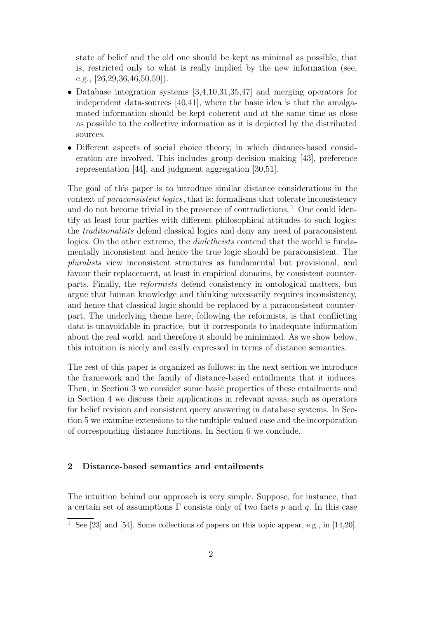state of belief and the old one should be kept as minimal as possible, that is, restricted only to what is really implied by the new information (see, e.g.,  $[26, 29, 36, 46, 50, 59]$ .

- Database integration systems [3,4,10,31,35,47] and merging operators for independent data-sources [40,41], where the basic idea is that the amalgamated information should be kept coherent and at the same time as close as possible to the collective information as it is depicted by the distributed sources.
- Different aspects of social choice theory, in which distance-based consideration are involved. This includes group decision making [43], preference representation [44], and judgment aggregation [30,51].

The goal of this paper is to introduce similar distance considerations in the context of paraconsistent logics, that is: formalisms that tolerate inconsistency and do not become trivial in the presence of contradictions.<sup>1</sup> One could identify at least four parties with different philosophical attitudes to such logics: the traditionalists defend classical logics and deny any need of paraconsistent logics. On the other extreme, the *dialetheists* contend that the world is fundamentally inconsistent and hence the true logic should be paraconsistent. The pluralists view inconsistent structures as fundamental but provisional, and favour their replacement, at least in empirical domains, by consistent counterparts. Finally, the reformists defend consistency in ontological matters, but argue that human knowledge and thinking necessarily requires inconsistency, and hence that classical logic should be replaced by a paraconsistent counterpart. The underlying theme here, following the reformists, is that conflicting data is unavoidable in practice, but it corresponds to inadequate information about the real world, and therefore it should be minimized. As we show below, this intuition is nicely and easily expressed in terms of distance semantics.

The rest of this paper is organized as follows: in the next section we introduce the framework and the family of distance-based entailments that it induces. Then, in Section 3 we consider some basic properties of these entailments and in Section 4 we discuss their applications in relevant areas, such as operators for belief revision and consistent query answering in database systems. In Section 5 we examine extensions to the multiple-valued case and the incorporation of corresponding distance functions. In Section 6 we conclude.

# 2 Distance-based semantics and entailments

The intuition behind our approach is very simple. Suppose, for instance, that a certain set of assumptions  $\Gamma$  consists only of two facts p and q. In this case

<sup>&</sup>lt;sup>1</sup> See [23] and [54]. Some collections of papers on this topic appear, e.g., in [14,20].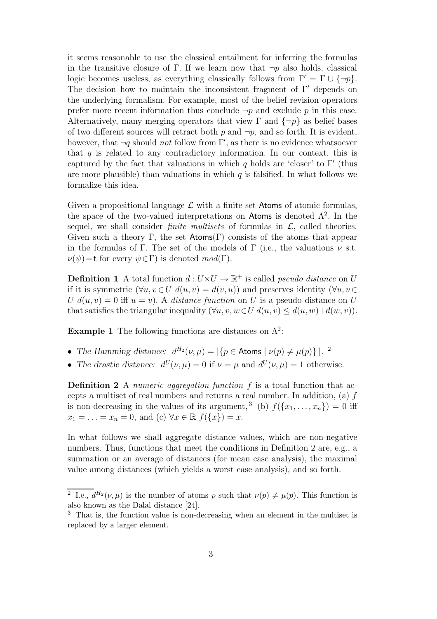it seems reasonable to use the classical entailment for inferring the formulas in the transitive closure of Γ. If we learn now that  $\neg p$  also holds, classical logic becomes useless, as everything classically follows from  $\Gamma' = \Gamma \cup \{\neg p\}.$ The decision how to maintain the inconsistent fragment of  $\Gamma'$  depends on the underlying formalism. For example, most of the belief revision operators prefer more recent information thus conclude  $\neg p$  and exclude p in this case. Alternatively, many merging operators that view  $\Gamma$  and  $\{\neg p\}$  as belief bases of two different sources will retract both  $p$  and  $\neg p$ , and so forth. It is evident, however, that  $\neg q$  should *not* follow from  $\Gamma'$ , as there is no evidence whatsoever that  $q$  is related to any contradictory information. In our context, this is captured by the fact that valuations in which q holds are 'closer' to  $\Gamma'$  (thus are more plausible) than valuations in which  $q$  is falsified. In what follows we formalize this idea.

Given a propositional language  $\mathcal L$  with a finite set Atoms of atomic formulas, the space of the two-valued interpretations on Atoms is denoted  $\Lambda^2$ . In the sequel, we shall consider *finite multisets* of formulas in  $\mathcal{L}$ , called theories. Given such a theory Γ, the set  $\mathsf{Atoms}(\Gamma)$  consists of the atoms that appear in the formulas of Γ. The set of the models of Γ (i.e., the valuations  $\nu$  s.t.  $\nu(\psi)$ =t for every  $\psi \in \Gamma$ ) is denoted  $mod(\Gamma)$ .

**Definition 1** A total function  $d: U \times U \rightarrow \mathbb{R}^+$  is called *pseudo distance* on U if it is symmetric  $(\forall u, v \in U \ d(u, v) = d(v, u))$  and preserves identity  $(\forall u, v \in$ U  $d(u, v) = 0$  iff  $u = v$ ). A distance function on U is a pseudo distance on U that satisfies the triangular inequality  $(\forall u, v, w \in U \, d(u, v) \leq d(u, w) + d(w, v)).$ 

**Example 1** The following functions are distances on  $\Lambda^2$ :

- The Hamming distance:  $d^{H_2}(\nu,\mu) = |\{p \in \text{Atoms} \mid \nu(p) \neq \mu(p)\}|^{2}$ .
- The drastic distance:  $d^U(\nu,\mu) = 0$  if  $\nu = \mu$  and  $d^U(\nu,\mu) = 1$  otherwise.

**Definition 2** A numeric aggregation function f is a total function that accepts a multiset of real numbers and returns a real number. In addition, (a) f is non-decreasing in the values of its argument,<sup>3</sup> (b)  $f({x_1, ..., x_n}) = 0$  iff  $x_1 = \ldots = x_n = 0$ , and (c)  $\forall x \in \mathbb{R}$   $f(\{x\}) = x$ .

In what follows we shall aggregate distance values, which are non-negative numbers. Thus, functions that meet the conditions in Definition 2 are, e.g., a summation or an average of distances (for mean case analysis), the maximal value among distances (which yields a worst case analysis), and so forth.

<sup>&</sup>lt;sup>2</sup> I.e.,  $d^{H_2}(\nu,\mu)$  is the number of atoms p such that  $\nu(p) \neq \mu(p)$ . This function is also known as the Dalal distance [24].

<sup>3</sup> That is, the function value is non-decreasing when an element in the multiset is replaced by a larger element.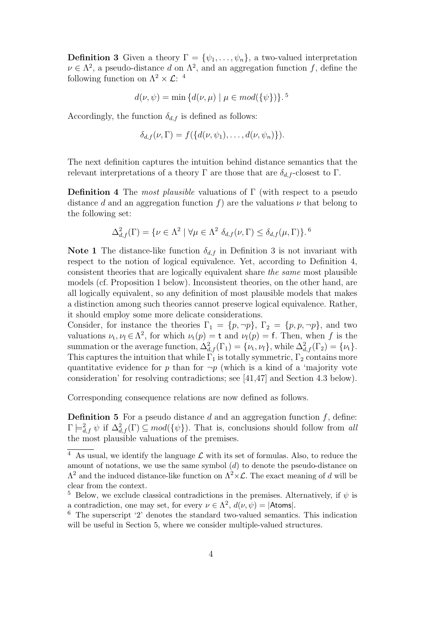**Definition 3** Given a theory  $\Gamma = {\psi_1, \ldots, \psi_n}$ , a two-valued interpretation  $\nu \in \Lambda^2$ , a pseudo-distance d on  $\Lambda^2$ , and an aggregation function f, define the following function on  $\Lambda^2 \times \mathcal{L}$ : <sup>4</sup>

$$
d(\nu, \psi) = \min \{d(\nu, \mu) \mid \mu \in mod(\{\psi\})\}.
$$
<sup>5</sup>

Accordingly, the function  $\delta_{d,f}$  is defined as follows:

$$
\delta_{d,f}(\nu,\Gamma)=f(\{d(\nu,\psi_1),\ldots,d(\nu,\psi_n)\}).
$$

The next definition captures the intuition behind distance semantics that the relevant interpretations of a theory Γ are those that are  $\delta_{d.f}$ -closest to Γ.

**Definition 4** The most plausible valuations of  $\Gamma$  (with respect to a pseudo distance d and an aggregation function f) are the valuations  $\nu$  that belong to the following set:

$$
\Delta_{d,f}^2(\Gamma) = \{ \nu \in \Lambda^2 \mid \forall \mu \in \Lambda^2 \; \delta_{d,f}(\nu,\Gamma) \le \delta_{d,f}(\mu,\Gamma) \}.
$$
<sup>6</sup>

**Note 1** The distance-like function  $\delta_{d,f}$  in Definition 3 is not invariant with respect to the notion of logical equivalence. Yet, according to Definition 4, consistent theories that are logically equivalent share the same most plausible models (cf. Proposition 1 below). Inconsistent theories, on the other hand, are all logically equivalent, so any definition of most plausible models that makes a distinction among such theories cannot preserve logical equivalence. Rather, it should employ some more delicate considerations.

Consider, for instance the theories  $\Gamma_1 = \{p, \neg p\}$ ,  $\Gamma_2 = \{p, p, \neg p\}$ , and two valuations  $\nu_t, \nu_f \in \Lambda^2$ , for which  $\nu_t(p) = \mathsf{t}$  and  $\nu_f(p) = \mathsf{f}$ . Then, when f is the summation or the average function,  $\Delta_{d,f}^2(\Gamma_1) = \{\nu_t, \nu_f\}$ , while  $\Delta_{d,f}^2(\Gamma_2) = \{\nu_t\}.$ This captures the intuition that while  $\Gamma_1$  is totally symmetric,  $\Gamma_2$  contains more quantitative evidence for p than for  $\neg p$  (which is a kind of a 'majority vote consideration' for resolving contradictions; see [41,47] and Section 4.3 below).

Corresponding consequence relations are now defined as follows.

**Definition 5** For a pseudo distance d and an aggregation function  $f$ , define:  $\Gamma \models^2_{d,f} \psi$  if  $\Delta^2_{d,f}(\Gamma) \subseteq mod({\{\psi\}})$ . That is, conclusions should follow from all the most plausible valuations of the premises.

 $\frac{4}{4}$  As usual, we identify the language  $\mathcal{L}$  with its set of formulas. Also, to reduce the amount of notations, we use the same symbol  $(d)$  to denote the pseudo-distance on  $\Lambda^2$  and the induced distance-like function on  $\Lambda^2 \times \mathcal{L}$ . The exact meaning of d will be clear from the context.

<sup>&</sup>lt;sup>5</sup> Below, we exclude classical contradictions in the premises. Alternatively, if  $\psi$  is a contradiction, one may set, for every  $\nu \in \Lambda^2$ ,  $d(\nu, \psi) = |\text{Atoms}|$ .

<sup>6</sup> The superscript '2' denotes the standard two-valued semantics. This indication will be useful in Section 5, where we consider multiple-valued structures.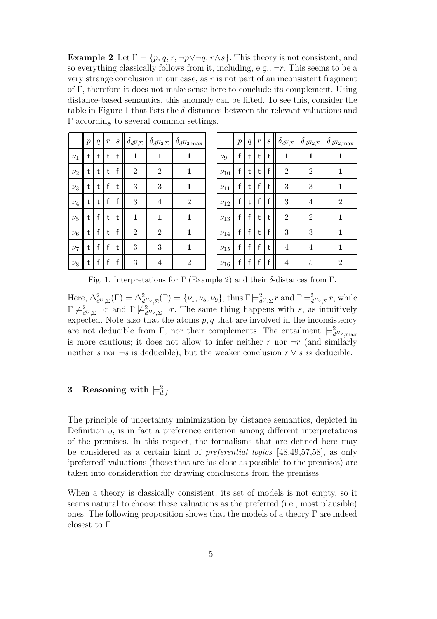**Example 2** Let  $\Gamma = \{p, q, r, \neg p \lor \neg q, r \land s\}$ . This theory is not consistent, and so everything classically follows from it, including, e.g.,  $\neg r$ . This seems to be a very strange conclusion in our case, as r is not part of an inconsistent fragment of Γ, therefore it does not make sense here to conclude its complement. Using distance-based semantics, this anomaly can be lifted. To see this, consider the table in Figure 1 that lists the  $\delta$ -distances between the relevant valuations and Γ according to several common settings.

|         | $\overline{p}$ | $\boldsymbol{q}$ | $\overline{r}$ | $\boldsymbol{s}$ |                | $\delta_{d^U,\Sigma} \bigm  \delta_{d^H2,\Sigma}$ | $\delta_{d^{\rm H}2\rm \underline{max}}$ |
|---------|----------------|------------------|----------------|------------------|----------------|---------------------------------------------------|------------------------------------------|
| $\nu_1$ | t              | t                | t              | t                | $\mathbf{1}$   | $\mathbf{1}$                                      | $\mathbf{1}$                             |
| $\nu_2$ | t              | t                | t              | f                | $\overline{2}$ | $\overline{2}$                                    | 1                                        |
| $\nu_3$ | t              | t                | f              | t                | 3              | 3                                                 | $\mathbf{1}$                             |
| $\nu_4$ | t              | t                | f              | f                | 3              | $\overline{4}$                                    | $\overline{2}$                           |
| $\nu_5$ | t              | f                | t              | t                | $\mathbf{1}$   | $\mathbf{1}$                                      | $\mathbf{1}$                             |
| $\nu_6$ | t              | f                | t              | f                | $\overline{2}$ | $\overline{2}$                                    | 1                                        |
| $\nu_7$ | t              | f                | f              | t                | 3              | $\boldsymbol{3}$                                  | 1                                        |
| $\nu_8$ | t              | f                | f              | f                | 3              | 4                                                 | $\overline{2}$                           |

|            | $\overline{p}$ | $\overline{q}$ | $\boldsymbol{r}$ | $\boldsymbol{s}$ |                  | $\delta_{d^U,\Sigma} \mid \delta_{d^{H_2},\Sigma}$ | $\delta_{d^{H_2}\!\!,\max}$ |
|------------|----------------|----------------|------------------|------------------|------------------|----------------------------------------------------|-----------------------------|
| $\nu_9$    | f              | t              | t                | t                | $\mathbf{1}$     | $\mathbf 1$                                        | 1                           |
| $\nu_{10}$ | f              | t              | t                | f                | $\overline{2}$   | $\overline{2}$                                     | 1                           |
| $\nu_{11}$ | f              | t              | f                | t                | 3                | 3                                                  | 1                           |
| $\nu_{12}$ | f              | t              | f                | f                | 3                | $\overline{4}$                                     | $\overline{2}$              |
| $\nu_{13}$ | f              | f              | t                | t                | $\boldsymbol{2}$ | $\overline{2}$                                     | 1                           |
| $\nu_{14}$ | f              | f              | t                | f                | 3                | 3                                                  | 1                           |
| $\nu_{15}$ | f              | f              | f                | t                | $\overline{4}$   | $\overline{4}$                                     | 1                           |
| $v_{16}$   | f              | f              | f                | f                | 4                | 5                                                  | $\overline{2}$              |

Fig. 1. Interpretations for Γ (Example 2) and their δ-distances from Γ.

Here,  $\Delta^2_{d^U, \Sigma}(\Gamma) = \Delta^2_{d^H2, \Sigma}(\Gamma) = \{\nu_1, \nu_5, \nu_9\}$ , thus  $\Gamma \models^2_{d^U, \Sigma} r$  and  $\Gamma \models^2_{d^H2, \Sigma} r$ , while  $\Gamma \not\models^2_{d^U,\Sigma} \neg r$  and  $\Gamma \not\models^2_{d^H2,\Sigma} \neg r$ . The same thing happens with s, as intuitively expected. Note also that the atoms  $p, q$  that are involved in the inconsistency are not deducible from  $\Gamma$ , nor their complements. The entailment  $\models^2_{d^{H_2}, \max}$ is more cautious; it does not allow to infer neither r nor  $\neg r$  (and similarly neither s nor  $\neg s$  is deducible), but the weaker conclusion  $r \vee s$  is deducible.

# $3$  Reasoning with  $\models^2_{d,f}$

The principle of uncertainty minimization by distance semantics, depicted in Definition 5, is in fact a preference criterion among different interpretations of the premises. In this respect, the formalisms that are defined here may be considered as a certain kind of preferential logics [48,49,57,58], as only 'preferred' valuations (those that are 'as close as possible' to the premises) are taken into consideration for drawing conclusions from the premises.

When a theory is classically consistent, its set of models is not empty, so it seems natural to choose these valuations as the preferred (i.e., most plausible) ones. The following proposition shows that the models of a theory  $\Gamma$  are indeed closest to Γ.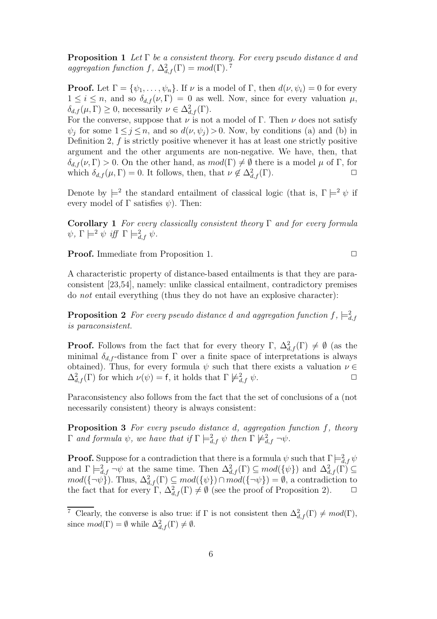**Proposition 1** Let  $\Gamma$  be a consistent theory. For every pseudo distance d and aggregation function f,  $\Delta^2_{d,f}(\Gamma) = mod(\Gamma)$ .<sup>7</sup>

**Proof.** Let  $\Gamma = {\psi_1, \ldots, \psi_n}$ . If  $\nu$  is a model of  $\Gamma$ , then  $d(\nu, \psi_i) = 0$  for every  $1 \leq i \leq n$ , and so  $\delta_{d,f}(\nu,\Gamma) = 0$  as well. Now, since for every valuation  $\mu$ ,  $\delta_{d,f}(\mu,\Gamma) \geq 0$ , necessarily  $\nu \in \Delta^2_{d,f}(\Gamma)$ .

For the converse, suppose that  $\nu$  is not a model of Γ. Then  $\nu$  does not satisfy  $\psi_j$  for some  $1 \leq j \leq n$ , and so  $d(\nu, \psi_j) > 0$ . Now, by conditions (a) and (b) in Definition 2,  $f$  is strictly positive whenever it has at least one strictly positive argument and the other arguments are non-negative. We have, then, that  $\delta_{d,f}(\nu,\Gamma) > 0$ . On the other hand, as  $mod(\Gamma) \neq \emptyset$  there is a model  $\mu$  of  $\Gamma$ , for which  $\delta_{d,f}(\mu,\Gamma) = 0$ . It follows, then, that  $\nu \notin \Delta^2_{d,f}(\Gamma)$ .

Denote by  $\models^2$  the standard entailment of classical logic (that is,  $\Gamma \models^2 \psi$  if every model of  $\Gamma$  satisfies  $\psi$ ). Then:

Corollary 1 For every classically consistent theory  $\Gamma$  and for every formula  $\psi$ ,  $\Gamma \models^2 \psi$  iff  $\Gamma \models^2_{d,f} \psi$ .

**Proof.** Immediate from Proposition 1. ◯

A characteristic property of distance-based entailments is that they are paraconsistent [23,54], namely: unlike classical entailment, contradictory premises do not entail everything (thus they do not have an explosive character):

**Proposition 2** For every pseudo distance d and aggregation function  $f$ ,  $\models_{d,f}^2$ is paraconsistent.

**Proof.** Follows from the fact that for every theory  $\Gamma$ ,  $\Delta_{d,f}^2(\Gamma) \neq \emptyset$  (as the minimal  $\delta_{d,f}$ -distance from  $\Gamma$  over a finite space of interpretations is always obtained). Thus, for every formula  $\psi$  such that there exists a valuation  $\nu \in$  $\Delta_{d,f}^2(\Gamma)$  for which  $\nu(\psi) = f$ , it holds that  $\Gamma \not\models_{d,f}^2 \psi$ .

Paraconsistency also follows from the fact that the set of conclusions of a (not necessarily consistent) theory is always consistent:

Proposition 3 For every pseudo distance d, aggregation function f, theory  $\Gamma$  and formula  $\psi$ , we have that if  $\Gamma \models^2_{d,f} \psi$  then  $\Gamma \not\models^2_{d,f} \neg \psi$ .

**Proof.** Suppose for a contradiction that there is a formula  $\psi$  such that  $\Gamma \models^2_{d,f} \psi$ and  $\Gamma \models^2_{d,f} \neg \psi$  at the same time. Then  $\Delta^2_{d,f}(\Gamma) \subseteq mod({\{\psi\}})$  and  $\Delta^2_{d,f}(\Gamma) \subseteq$  $mod(\{\neg \psi\})$ . Thus,  $\Delta^2_{d,f}(\Gamma) \subseteq mod(\{\psi\}) \cap mod(\{\neg \psi\}) = \emptyset$ , a contradiction to the fact that for every  $\Gamma$ ,  $\Delta^2_{d,f}(\Gamma) \neq \emptyset$  (see the proof of Proposition 2).  $\Box$ 

<sup>&</sup>lt;sup>7</sup> Clearly, the converse is also true: if  $\Gamma$  is not consistent then  $\Delta^2_{d,f}(\Gamma) \neq mod(\Gamma)$ , since  $mod(\Gamma) = \emptyset$  while  $\Delta^2_{d,f}(\Gamma) \neq \emptyset$ .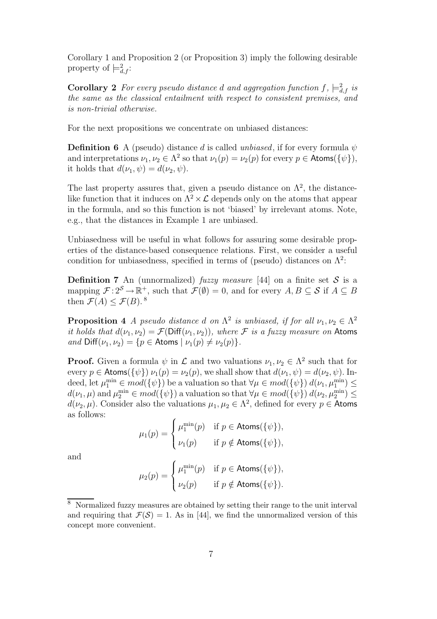Corollary 1 and Proposition 2 (or Proposition 3) imply the following desirable property of  $\models^2_{d,f}$ :

**Corollary 2** For every pseudo distance d and aggregation function  $f$ ,  $\models^2_{d,f}$  is the same as the classical entailment with respect to consistent premises, and is non-trivial otherwise.

For the next propositions we concentrate on unbiased distances:

**Definition 6** A (pseudo) distance d is called unbiased, if for every formula  $\psi$ and interpretations  $\nu_1, \nu_2 \in \Lambda^2$  so that  $\nu_1(p) = \nu_2(p)$  for every  $p \in \text{Atoms}(\{\psi\}),$ it holds that  $d(\nu_1, \psi) = d(\nu_2, \psi)$ .

The last property assures that, given a pseudo distance on  $\Lambda^2$ , the distancelike function that it induces on  $\Lambda^2 \times \mathcal{L}$  depends only on the atoms that appear in the formula, and so this function is not 'biased' by irrelevant atoms. Note, e.g., that the distances in Example 1 are unbiased.

Unbiasedness will be useful in what follows for assuring some desirable properties of the distance-based consequence relations. First, we consider a useful condition for unbiasedness, specified in terms of (pseudo) distances on  $\Lambda^2$ :

**Definition 7** An (unnormalized) fuzzy measure [44] on a finite set S is a mapping  $\mathcal{F}: 2^S \to \mathbb{R}^+$ , such that  $\mathcal{F}(\emptyset) = 0$ , and for every  $A, B \subseteq \mathcal{S}$  if  $A \subseteq B$ then  $\mathcal{F}(A) \leq \mathcal{F}(B)$ .<sup>8</sup>

**Proposition 4** A pseudo distance d on  $\Lambda^2$  is unbiased, if for all  $\nu_1, \nu_2 \in \Lambda^2$ it holds that  $d(\nu_1, \nu_2) = \mathcal{F}(\text{Diff}(\nu_1, \nu_2))$ , where F is a fuzzy measure on Atoms and  $\text{Diff}(\nu_1, \nu_2) = \{p \in \text{Atoms} \mid \nu_1(p) \neq \nu_2(p)\}.$ 

**Proof.** Given a formula  $\psi$  in  $\mathcal{L}$  and two valuations  $\nu_1, \nu_2 \in \Lambda^2$  such that for every  $p \in \text{Atoms}(\{\psi\}) \nu_1(p) = \nu_2(p)$ , we shall show that  $d(\nu_1, \psi) = d(\nu_2, \psi)$ . Indeed, let  $\mu_1^{\min} \in mod(\{\psi\})$  be a valuation so that  $\forall \mu \in mod(\{\psi\})$   $d(\nu_1, \mu_1^{\min}) \le$  $d(\nu_1, \mu)$  and  $\mu_2^{\min} \in mod(\{\psi\})$  a valuation so that  $\forall \mu \in mod(\{\psi\})$   $d(\nu_2, \mu_2^{\min}) \le$  $d(\nu_2, \mu)$ . Consider also the valuations  $\mu_1, \mu_2 \in \Lambda^2$ , defined for every  $p \in$  Atoms as follows:

$$
\mu_1(p) = \begin{cases} \mu_1^{\min}(p) & \text{if } p \in \text{Atoms}(\{\psi\}), \\ \nu_1(p) & \text{if } p \notin \text{Atoms}(\{\psi\}), \end{cases}
$$

and

$$
\mu_2(p) = \begin{cases} \mu_1^{\min}(p) & \text{if } p \in \text{Atoms}(\{\psi\}), \\ \nu_2(p) & \text{if } p \notin \text{Atoms}(\{\psi\}). \end{cases}
$$

<sup>8</sup> Normalized fuzzy measures are obtained by setting their range to the unit interval and requiring that  $\mathcal{F}(\mathcal{S}) = 1$ . As in [44], we find the unnormalized version of this concept more convenient.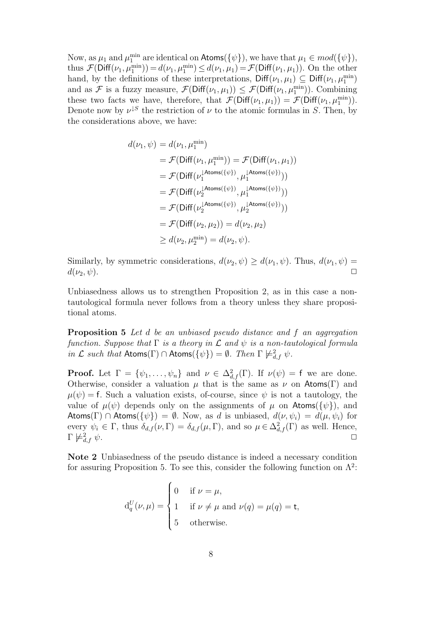Now, as  $\mu_1$  and  $\mu_1^{\min}$  are identical on  $\mathsf{Atoms}(\{\psi\})$ , we have that  $\mu_1 \in mod(\{\psi\})$ , thus  $\mathcal{F}(\text{Diff}(\nu_1, \mu_1^{\min})) = d(\nu_1, \mu_1^{\min}) \leq d(\nu_1, \mu_1) = \mathcal{F}(\text{Diff}(\nu_1, \mu_1)).$  On the other hand, by the definitions of these interpretations,  $\text{Diff}(\nu_1, \mu_1) \subseteq \text{Diff}(\nu_1, \mu_1^{\min})$ and as F is a fuzzy measure,  $\mathcal{F}(\text{Diff}(\nu_1,\mu_1)) \leq \mathcal{F}(\text{Diff}(\nu_1,\mu_1^{\min}))$ . Combining these two facts we have, therefore, that  $\mathcal{F}(\text{Diff}(\nu_1,\mu_1)) = \mathcal{F}(\text{Diff}(\nu_1,\mu_1^{\min}))$ . Denote now by  $\nu^{\downarrow S}$  the restriction of  $\nu$  to the atomic formulas in S. Then, by the considerations above, we have:

$$
d(\nu_1, \psi) = d(\nu_1, \mu_1^{\min})
$$
  
=  $\mathcal{F}(\text{Diff}(\nu_1, \mu_1^{\min})) = \mathcal{F}(\text{Diff}(\nu_1, \mu_1))$   
=  $\mathcal{F}(\text{Diff}(\nu_1^{\text{lAtoms}(\{\psi\})}, \mu_1^{\text{lAtoms}(\{\psi\})}))$   
=  $\mathcal{F}(\text{Diff}(\nu_2^{\text{lAtoms}(\{\psi\})}, \mu_1^{\text{lAtoms}(\{\psi\})}))$   
=  $\mathcal{F}(\text{Diff}(\nu_2^{\text{lAtoms}(\{\psi\})}, \mu_2^{\text{lAtoms}(\{\psi\})}))$   
=  $\mathcal{F}(\text{Diff}(\nu_2, \mu_2)) = d(\nu_2, \mu_2)$   
 $\geq d(\nu_2, \mu_2^{\min}) = d(\nu_2, \psi).$ 

Similarly, by symmetric considerations,  $d(\nu_2, \psi) \geq d(\nu_1, \psi)$ . Thus,  $d(\nu_1, \psi) =$  $d(\nu_2, \psi)$ .

Unbiasedness allows us to strengthen Proposition 2, as in this case a nontautological formula never follows from a theory unless they share propositional atoms.

Proposition 5 Let d be an unbiased pseudo distance and f an aggregation function. Suppose that  $\Gamma$  is a theory in  $\mathcal L$  and  $\psi$  is a non-tautological formula in  $\mathcal L$  such that  $\mathsf{Atoms}(\Gamma) \cap \mathsf{Atoms}(\{\psi\}) = \emptyset$ . Then  $\Gamma \not\models^2_{d,f} \psi$ .

**Proof.** Let  $\Gamma = \{\psi_1, \ldots, \psi_n\}$  and  $\nu \in \Delta^2_{d,f}(\Gamma)$ . If  $\nu(\psi) = f$  we are done. Otherwise, consider a valuation  $\mu$  that is the same as  $\nu$  on Atoms(Γ) and  $\mu(\psi) = f$ . Such a valuation exists, of-course, since  $\psi$  is not a tautology, the value of  $\mu(\psi)$  depends only on the assignments of  $\mu$  on Atoms( $\{\psi\}$ ), and Atoms(Γ) ∩ Atoms( $\{\psi\}$ ) = Ø. Now, as d is unbiased,  $d(\nu, \psi_i) = d(\mu, \psi_i)$  for every  $\psi_i \in \Gamma$ , thus  $\delta_{d,f}(\nu,\Gamma) = \delta_{d,f}(\mu,\Gamma)$ , and so  $\mu \in \Delta^2_{d,f}(\Gamma)$  as well. Hence,  $\Gamma \not\models^2_{d.f} \psi.$  $\frac{2}{d,f}\psi.$ 

Note 2 Unbiasedness of the pseudo distance is indeed a necessary condition for assuring Proposition 5. To see this, consider the following function on  $\Lambda^2$ :

$$
d_q^U(\nu,\mu) = \begin{cases} 0 & \text{if } \nu = \mu, \\ 1 & \text{if } \nu \neq \mu \text{ and } \nu(q) = \mu(q) = t, \\ 5 & \text{otherwise.} \end{cases}
$$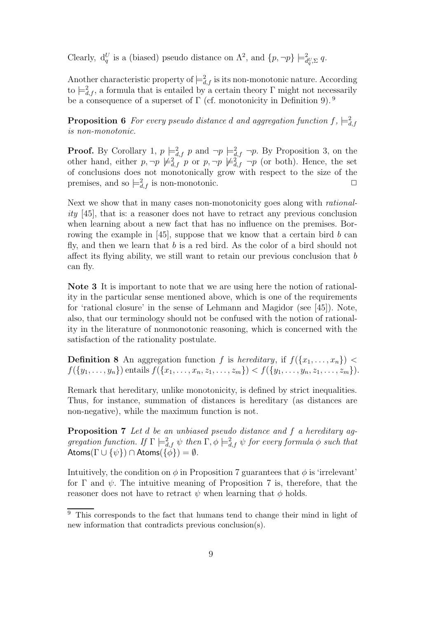Clearly,  $d_q^U$  is a (biased) pseudo distance on  $\Lambda^2$ , and  $\{p, \neg p\} \models^2_{d_q^U, \Sigma} q$ .

Another characteristic property of  $\models^2_{d,f}$  is its non-monotonic nature. According to  $\models_{d,f}^2$ , a formula that is entailed by a certain theory  $\Gamma$  might not necessarily be a consequence of a superset of  $\Gamma$  (cf. monotonicity in Definition 9).<sup>9</sup>

**Proposition 6** For every pseudo distance  $d$  and aggregation function  $f$ ,  $\models^2_{d,f}$ is non-monotonic.

**Proof.** By Corollary 1,  $p \models_{d,f}^2 p$  and  $\neg p \models_{d,f}^2 \neg p$ . By Proposition 3, on the other hand, either  $p, \neg p \not\models^2_{d,f} p$  or  $p, \neg p \not\models^2_{d,f} \neg p$  (or both). Hence, the set of conclusions does not monotonically grow with respect to the size of the premises, and so  $\models^2_{d,f}$  is non-monotonic.  $\Box$ 

Next we show that in many cases non-monotonicity goes along with rationality [45], that is: a reasoner does not have to retract any previous conclusion when learning about a new fact that has no influence on the premises. Borrowing the example in [45], suppose that we know that a certain bird  $b$  can fly, and then we learn that  $b$  is a red bird. As the color of a bird should not affect its flying ability, we still want to retain our previous conclusion that  $b$ can fly.

Note 3 It is important to note that we are using here the notion of rationality in the particular sense mentioned above, which is one of the requirements for 'rational closure' in the sense of Lehmann and Magidor (see [45]). Note, also, that our terminology should not be confused with the notion of rationality in the literature of nonmonotonic reasoning, which is concerned with the satisfaction of the rationality postulate.

**Definition 8** An aggregation function f is hereditary, if  $f(\{x_1, \ldots, x_n\})$  $f({y_1, \ldots, y_n})$  entails  $f({x_1, \ldots, x_n, z_1, \ldots, z_m}) < f({y_1, \ldots, y_n, z_1, \ldots, z_m}).$ 

Remark that hereditary, unlike monotonicity, is defined by strict inequalities. Thus, for instance, summation of distances is hereditary (as distances are non-negative), while the maximum function is not.

Proposition 7 Let d be an unbiased pseudo distance and f a hereditary aggregation function. If  $\Gamma \models^2_{d,f} \psi$  then  $\Gamma, \phi \models^2_{d,f} \psi$  for every formula  $\phi$  such that Atoms( $\Gamma \cup {\psi}$ ) ∩ Atoms( $\{\phi\}$ ) =  $\emptyset$ .

Intuitively, the condition on  $\phi$  in Proposition 7 guarantees that  $\phi$  is 'irrelevant' for  $\Gamma$  and  $\psi$ . The intuitive meaning of Proposition 7 is, therefore, that the reasoner does not have to retract  $\psi$  when learning that  $\phi$  holds.

<sup>&</sup>lt;sup>9</sup> This corresponds to the fact that humans tend to change their mind in light of new information that contradicts previous conclusion(s).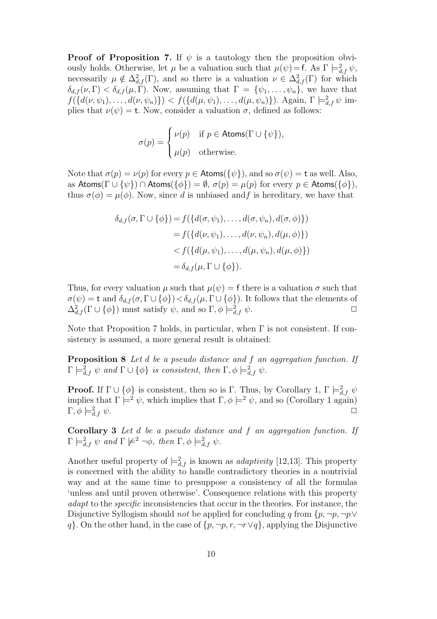**Proof of Proposition 7.** If  $\psi$  is a tautology then the proposition obviously holds. Otherwise, let  $\mu$  be a valuation such that  $\mu(\psi) = f$ . As  $\Gamma \models_{d,f}^2 \psi$ , necessarily  $\mu \notin \Delta^2_{d,f}(\Gamma)$ , and so there is a valuation  $\nu \in \Delta^2_{d,f}(\Gamma)$  for which  $\delta_{d,f}(\nu,\Gamma) < \delta_{d,f}(\mu,\Gamma)$ . Now, assuming that  $\Gamma = {\psi_1,\ldots,\psi_n}$ , we have that  $f({d(\nu, \psi_1), \ldots, d(\nu, \psi_n)} > f({d(\mu, \psi_1), \ldots, d(\mu, \psi_n)})$ . Again,  $\Gamma \models^2_{d,f} \psi$  implies that  $\nu(\psi) = t$ . Now, consider a valuation  $\sigma$ , defined as follows:

$$
\sigma(p) = \begin{cases} \nu(p) & \text{if } p \in \text{Atoms}(\Gamma \cup \{\psi\}), \\ \mu(p) & \text{otherwise.} \end{cases}
$$

Note that  $\sigma(p) = \nu(p)$  for every  $p \in \text{Atoms}(\{\psi\})$ , and so  $\sigma(\psi) = t$  as well. Also, as Atoms( $\Gamma \cup \{\psi\}$ ) ∩ Atoms( $\{\phi\}$ ) =  $\emptyset$ ,  $\sigma(p) = \mu(p)$  for every  $p \in$  Atoms( $\{\phi\}$ ), thus  $\sigma(\phi) = \mu(\phi)$ . Now, since d is unbiased and f is hereditary, we have that

$$
\delta_{d,f}(\sigma, \Gamma \cup \{\phi\}) = f(\{d(\sigma, \psi_1), \dots, d(\sigma, \psi_n), d(\sigma, \phi)\})
$$

$$
= f(\{d(\nu, \psi_1), \dots, d(\nu, \psi_n), d(\mu, \phi)\})
$$

$$
< f(\{d(\mu, \psi_1), \dots, d(\mu, \psi_n), d(\mu, \phi)\})
$$

$$
= \delta_{d,f}(\mu, \Gamma \cup \{\phi\}).
$$

Thus, for every valuation  $\mu$  such that  $\mu(\psi) = f$  there is a valuation  $\sigma$  such that  $\sigma(\psi) = \mathsf{t}$  and  $\delta_{d,f}(\sigma, \Gamma \cup \{\phi\}) < \delta_{d,f}(\mu, \Gamma \cup \{\phi\})$ . It follows that the elements of  $\Delta_{d,f}^2(\Gamma \cup {\phi})$  must satisfy  $\psi$ , and so  $\Gamma, \phi \models_{d,f}^2 \psi$ .

Note that Proposition 7 holds, in particular, when  $\Gamma$  is not consistent. If consistency is assumed, a more general result is obtained:

Proposition 8 Let d be a pseudo distance and f an aggregation function. If  $\Gamma \models^2_{d,f} \psi \text{ and } \Gamma \cup \{\phi\} \text{ is consistent, then } \Gamma, \phi \models^2_{d,f} \psi.$ 

**Proof.** If  $\Gamma \cup \{\phi\}$  is consistent, then so is  $\Gamma$ . Thus, by Corollary 1,  $\Gamma \models^2_{d,f} \psi$ implies that  $\Gamma \models^2 \psi$ , which implies that  $\Gamma, \phi \models^2 \psi$ , and so (Corollary 1 again)  $Γ, φ \models_{d,f}^2 ψ.$  $\partial_{d,f} \psi.$ 

Corollary 3 Let d be a pseudo distance and f an aggregation function. If  $\Gamma \models^2_{d,f} \psi \text{ and } \Gamma \not\models^2 \neg \phi, \text{ then } \Gamma, \phi \models^2_{d,f} \psi.$ 

Another useful property of  $\models^2_{d,f}$  is known as *adaptivity* [12,13]. This property is concerned with the ability to handle contradictory theories in a nontrivial way and at the same time to presuppose a consistency of all the formulas 'unless and until proven otherwise'. Consequence relations with this property adapt to the specific inconsistencies that occur in the theories. For instance, the Disjunctive Syllogism should *not* be applied for concluding q from  $\{p, \neg p, \neg p \lor \neg p\}$ q}. On the other hand, in the case of  $\{p, \neg p, r, \neg r \lor q\}$ , applying the Disjunctive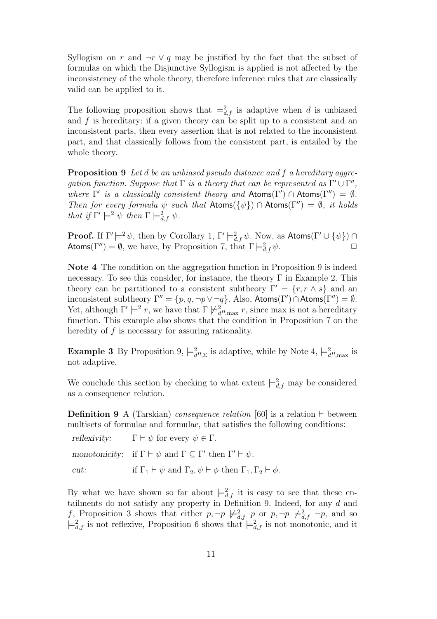Syllogism on r and  $\neg r \lor q$  may be justified by the fact that the subset of formulas on which the Disjunctive Syllogism is applied is not affected by the inconsistency of the whole theory, therefore inference rules that are classically valid can be applied to it.

The following proposition shows that  $\models^2_{d,f}$  is adaptive when d is unbiased and f is hereditary: if a given theory can be split up to a consistent and an inconsistent parts, then every assertion that is not related to the inconsistent part, and that classically follows from the consistent part, is entailed by the whole theory.

**Proposition 9** Let d be an unbiased pseudo distance and f a hereditary aggregation function. Suppose that  $\Gamma$  is a theory that can be represented as  $\Gamma' \cup \Gamma''$ , where  $\Gamma'$  is a classically consistent theory and  $\mathsf{Atoms}(\Gamma') \cap \mathsf{Atoms}(\Gamma'') = \emptyset$ . Then for every formula  $\psi$  such that Atoms( $\{\psi\}$ ) ∩ Atoms( $\Gamma''$ ) =  $\emptyset$ , it holds that if  $\Gamma' \models^2 \psi$  then  $\Gamma \models^2_{d,f} \psi$ .

**Proof.** If  $\Gamma' \models^2 \psi$ , then by Corollary 1,  $\Gamma' \models^2_{d,f} \psi$ . Now, as  $\mathsf{Atoms}(\Gamma' \cup \{\psi\}) \cap$ Atoms(Γ'') =  $\emptyset$ , we have, by Proposition 7, that  $\Gamma \models^2_{d,f} \psi$ .  $\partial_{d,f}^2 \psi$ .

Note 4 The condition on the aggregation function in Proposition 9 is indeed necessary. To see this consider, for instance, the theory  $\Gamma$  in Example 2. This theory can be partitioned to a consistent subtheory  $\Gamma' = \{r, r \wedge s\}$  and an inconsistent subtheory  $\Gamma'' = \{p, q, \neg p \lor \neg q\}$ . Also,  $\mathsf{Atoms}(\Gamma') \cap \mathsf{Atoms}(\Gamma'') = \emptyset$ . Yet, although  $\Gamma' \models^2 r$ , we have that  $\Gamma \not\models^2_{d^H,\max} r$ , since max is not a hereditary function. This example also shows that the condition in Proposition 7 on the heredity of  $f$  is necessary for assuring rationality.

**Example 3** By Proposition 9,  $\models_{d^H,\Sigma}^2$  is adaptive, while by Note 4,  $\models_{d^H,\max}^2$  is not adaptive.

We conclude this section by checking to what extent  $\equiv_{d,f}^2$  may be considered as a consequence relation.

**Definition 9** A (Tarskian) *consequence relation* [60] is a relation ⊢ between multisets of formulae and formulae, that satisfies the following conditions:

|      | reflexivity: $\Gamma \vdash \psi$ for every $\psi \in \Gamma$ .                                    |
|------|----------------------------------------------------------------------------------------------------|
|      | monotonicity: if $\Gamma \vdash \psi$ and $\Gamma \subseteq \Gamma'$ then $\Gamma' \vdash \psi$ .  |
| cut: | if $\Gamma_1 \vdash \psi$ and $\Gamma_2, \psi \vdash \phi$ then $\Gamma_1, \Gamma_2 \vdash \phi$ . |

By what we have shown so far about  $\models^2_{d,f}$  it is easy to see that these entailments do not satisfy any property in Definition 9. Indeed, for any  $d$  and f, Proposition 3 shows that either  $p, \neg p \not\models^2_{d,f} p$  or  $p, \neg p \not\models^2_{d,f} \neg p$ , and so  $\models^2_{d,f}$  is not reflexive, Proposition 6 shows that  $\models^2_{d,f}$  is not monotonic, and it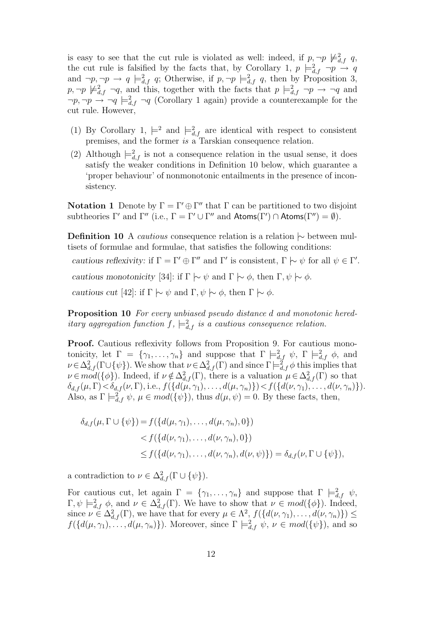is easy to see that the cut rule is violated as well: indeed, if  $p, \neg p \not\models^2_{d,f} q$ , the cut rule is falsified by the facts that, by Corollary 1,  $p \models^2_{d,f} \neg p \stackrel{\sim}{\rightarrow} q$ and  $\neg p, \neg p \rightarrow q \models^2_{d,f} q$ ; Otherwise, if  $p, \neg p \models^2_{d,f} q$ , then by Proposition 3,  $p, \neg p \not\models^2_{d,f} \neg q$ , and this, together with the facts that  $p \models^2_{d,f} \neg p \rightarrow \neg q$  and  $\neg p, \neg p \rightarrow \neg q \models^2_{d,f} \neg q$  (Corollary 1 again) provide a counterexample for the cut rule. However,

- (1) By Corollary 1,  $\models^2$  and  $\models^2_{d,f}$  are identical with respect to consistent premises, and the former is a Tarskian consequence relation.
- (2) Although  $\models^2_{d,f}$  is not a consequence relation in the usual sense, it does satisfy the weaker conditions in Definition 10 below, which guarantee a 'proper behaviour' of nonmonotonic entailments in the presence of inconsistency.

**Notation 1** Denote by  $\Gamma = \Gamma' \oplus \Gamma''$  that  $\Gamma$  can be partitioned to two disjoint subtheories  $\Gamma'$  and  $\Gamma''$  (i.e.,  $\Gamma = \Gamma' \cup \Gamma''$  and  $\text{Atoms}(\Gamma') \cap \text{Atoms}(\Gamma'') = \emptyset$ ).

Definition 10 A *cautious* consequence relation is a relation  $\sim$  between multisets of formulae and formulae, that satisfies the following conditions:

cautious reflexivity: if  $\Gamma = \Gamma' \oplus \Gamma''$  and  $\Gamma'$  is consistent,  $\Gamma \sim \psi$  for all  $\psi \in \Gamma'$ .

cautious monotonicity [34]: if  $\Gamma \hspace{0.2em}\sim\hspace{0.2em} \psi$  and  $\Gamma \hspace{0.2em}\sim\hspace{0.2em}\mid\hspace{0.58em} \phi$ , then  $\Gamma, \psi \hspace{0.2em}\sim\hspace{0.2em}\mid\hspace{0.58em} \phi$ .

cautious cut [42]: if  $\Gamma \sim \psi$  and  $\Gamma, \psi \sim \phi$ , then  $\Gamma \sim \phi$ .

**Proposition 10** For every unbiased pseudo distance d and monotonic hereditary aggregation function  $f$ ,  $\models^2_{d,f}$  is a cautious consequence relation.

Proof. Cautious reflexivity follows from Proposition 9. For cautious monotonicity, let  $\Gamma = \{\gamma_1, \ldots, \gamma_n\}$  and suppose that  $\Gamma \models^2_{d,f} \psi$ ,  $\Gamma \models^2_{d,f} \phi$ , and  $\nu \in \Delta^2_{d,f}(\Gamma \cup {\psi})$ . We show that  $\nu \in \Delta^2_{d,f}(\Gamma)$  and since  $\Gamma \models^2_{d,f} \phi$  this implies that  $\nu \in mod({\{\phi\}})$ . Indeed, if  $\nu \notin \Delta^2_{d,f}(\Gamma)$ , there is a valuation  $\mu \in \Delta^2_{d,f}(\Gamma)$  so that  $\delta_{d,f}(\mu,\Gamma) < \delta_{d,f}(\nu,\Gamma)$ , i.e.,  $f(\{d(\mu,\gamma_1),\ldots,d(\mu,\gamma_n)\}) < f(\{d(\nu,\gamma_1),\ldots,d(\nu,\gamma_n)\}).$ Also, as  $\Gamma \models^2_{d,f} \psi$ ,  $\mu \in mod({\{\psi\}})$ , thus  $d(\mu, \psi) = 0$ . By these facts, then,

$$
\delta_{d,f}(\mu, \Gamma \cup \{\psi\}) = f(\{d(\mu, \gamma_1), \dots, d(\mu, \gamma_n), 0\})
$$
  

$$
< f(\{d(\nu, \gamma_1), \dots, d(\nu, \gamma_n), 0\})
$$
  

$$
\leq f(\{d(\nu, \gamma_1), \dots, d(\nu, \gamma_n), d(\nu, \psi)\}) = \delta_{d,f}(\nu, \Gamma \cup \{\psi\}),
$$

a contradiction to  $\nu \in \Delta^2_{d,f}(\Gamma \cup \{\psi\}).$ 

For cautious cut, let again  $\Gamma = \{\gamma_1, \ldots, \gamma_n\}$  and suppose that  $\Gamma \models^2_{d,f} \psi$ ,  $\Gamma, \psi \models^2_{d,f} \phi$ , and  $\nu \in \Delta^2_{d,f}(\Gamma)$ . We have to show that  $\nu \in mod({\{\phi\}})$ . Indeed, since  $\nu \in \Delta^2_{d,f}(\Gamma)$ , we have that for every  $\mu \in \Lambda^2$ ,  $f(\{d(\nu, \gamma_1), \ldots, d(\nu, \gamma_n)\}) \le$  $f({d(\mu, \gamma_1), \ldots, d(\mu, \gamma_n)}).$  Moreover, since  $\Gamma \models^2_{d,f} \psi, \nu \in \text{mod}({\{\psi\}}),$  and so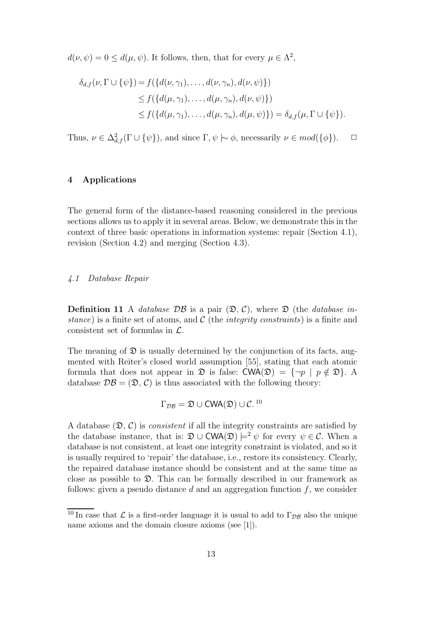$d(\nu, \psi) = 0 \leq d(\mu, \psi)$ . It follows, then, that for every  $\mu \in \Lambda^2$ ,

$$
\delta_{d,f}(\nu, \Gamma \cup \{\psi\}) = f(\{d(\nu, \gamma_1), \dots, d(\nu, \gamma_n), d(\nu, \psi)\})
$$
  
\n
$$
\leq f(\{d(\mu, \gamma_1), \dots, d(\mu, \gamma_n), d(\nu, \psi)\})
$$
  
\n
$$
\leq f(\{d(\mu, \gamma_1), \dots, d(\mu, \gamma_n), d(\mu, \psi)\}) = \delta_{d,f}(\mu, \Gamma \cup \{\psi\}).
$$

Thus,  $\nu \in \Delta^2_{d,f}(\Gamma \cup \{\psi\}),$  and since  $\Gamma, \psi \models \phi$ , necessarily  $\nu \in mod(\{\phi\}).$   $\Box$ 

# 4 Applications

The general form of the distance-based reasoning considered in the previous sections allows us to apply it in several areas. Below, we demonstrate this in the context of three basic operations in information systems: repair (Section 4.1), revision (Section 4.2) and merging (Section 4.3).

# 4.1 Database Repair

**Definition 11** A *database DB* is a pair  $(\mathcal{D}, \mathcal{C})$ , where  $\mathcal{D}$  (the *database in*stance) is a finite set of atoms, and  $\mathcal C$  (the *integrity constraints*) is a finite and consistent set of formulas in  $\mathcal{L}$ .

The meaning of  $\mathfrak D$  is usually determined by the conjunction of its facts, augmented with Reiter's closed world assumption [55], stating that each atomic formula that does not appear in  $\mathfrak D$  is false:  $\mathsf{CWA}(\mathfrak D) = {\neg p \mid p \notin \mathfrak D}.$  A database  $\mathcal{DB} = (\mathfrak{D}, \mathcal{C})$  is thus associated with the following theory:

$$
\Gamma_{\mathcal{DB}} = \mathfrak{D} \cup \text{CWA}(\mathfrak{D}) \cup \mathcal{C}.^{10}
$$

A database  $(\mathfrak{D}, \mathcal{C})$  is *consistent* if all the integrity constraints are satisfied by the database instance, that is:  $\mathfrak{D} \cup \text{CWA}(\mathfrak{D}) \neq^{\mathfrak{D}} \psi$  for every  $\psi \in \mathcal{C}$ . When a database is not consistent, at least one integrity constraint is violated, and so it is usually required to 'repair' the database, i.e., restore its consistency. Clearly, the repaired database instance should be consistent and at the same time as close as possible to  $\mathfrak{D}$ . This can be formally described in our framework as follows: given a pseudo distance  $d$  and an aggregation function  $f$ , we consider

<sup>&</sup>lt;sup>10</sup> In case that  $\mathcal L$  is a first-order language it is usual to add to  $\Gamma_{\mathcal{DB}}$  also the unique name axioms and the domain closure axioms (see [1]).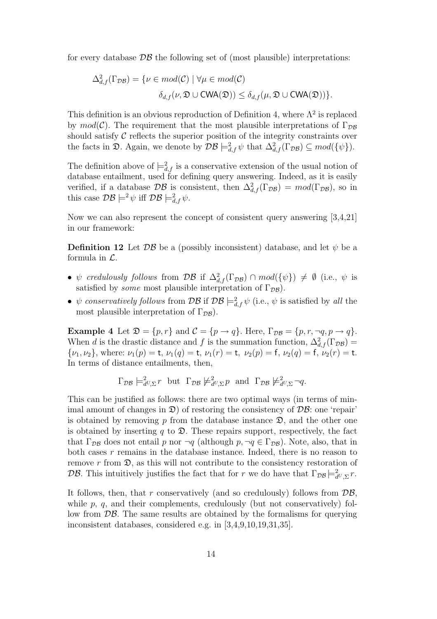for every database  $\mathcal{DB}$  the following set of (most plausible) interpretations:

$$
\Delta_{d,f}^2(\Gamma_{\mathcal{DB}}) = \{ \nu \in mod(\mathcal{C}) \mid \forall \mu \in mod(\mathcal{C})
$$

$$
\delta_{d,f}(\nu, \mathfrak{D} \cup \mathsf{CWA}(\mathfrak{D})) \le \delta_{d,f}(\mu, \mathfrak{D} \cup \mathsf{CWA}(\mathfrak{D})) \}.
$$

This definition is an obvious reproduction of Definition 4, where  $\Lambda^2$  is replaced by  $mod(\mathcal{C})$ . The requirement that the most plausible interpretations of  $\Gamma_{DR}$ should satisfy  $\mathcal C$  reflects the superior position of the integrity constraints over the facts in  $\mathfrak{D}$ . Again, we denote by  $\mathcal{DB} \models^2_{d,f} \psi$  that  $\Delta^2_{d,f}(\Gamma_{\mathcal{DB}}) \subseteq \text{mod}(\{\psi\}).$ 

The definition above of  $\models^2_{d,f}$  is a conservative extension of the usual notion of database entailment, used for defining query answering. Indeed, as it is easily verified, if a database  $\mathcal{DB}$  is consistent, then  $\Delta^2_{d,f}(\Gamma_{\mathcal{DB}}) = mod(\Gamma_{\mathcal{DB}})$ , so in this case  $\mathcal{DB} \models^2 \psi$  iff  $\mathcal{DB} \models^2_{d,f} \psi$ .

Now we can also represent the concept of consistent query answering [3,4,21] in our framework:

**Definition 12** Let  $\mathcal{DB}$  be a (possibly inconsistent) database, and let  $\psi$  be a formula in  $\mathcal{L}$ .

- $\psi$  credulously follows from  $\mathcal{DB}$  if  $\Delta^2_{d,f}(\Gamma_{\mathcal{DB}}) \cap \mathcal{MO}(\{\psi\}) \neq \emptyset$  (i.e.,  $\psi$  is satisfied by *some* most plausible interpretation of  $\Gamma_{\mathcal{DB}}$ ).
- $\psi$  conservatively follows from  $\mathcal{DB}$  if  $\mathcal{DB} \models^2_{d,f} \psi$  (i.e.,  $\psi$  is satisfied by all the most plausible interpretation of  $\Gamma_{\mathcal{DB}}$ ).

**Example 4** Let  $\mathfrak{D} = \{p, r\}$  and  $\mathcal{C} = \{p \rightarrow q\}$ . Here,  $\Gamma_{\mathcal{DB}} = \{p, r, \neg q, p \rightarrow q\}$ . When d is the drastic distance and f is the summation function,  $\Delta_{d,f}^2(\Gamma_{\mathcal{DB}})$  =  $\{\nu_1, \nu_2\}$ , where:  $\nu_1(p) = \mathsf{t}$ ,  $\nu_1(q) = \mathsf{t}$ ,  $\nu_1(r) = \mathsf{t}$ ,  $\nu_2(p) = \mathsf{f}$ ,  $\nu_2(q) = \mathsf{f}$ ,  $\nu_2(r) = \mathsf{t}$ . In terms of distance entailments, then,

$$
\Gamma_{\mathcal{DB}} \models_{d^U, \Sigma}^2 r
$$
 but  $\Gamma_{\mathcal{DB}} \not\models_{d^U, \Sigma}^2 p$  and  $\Gamma_{\mathcal{DB}} \not\models_{d^U, \Sigma}^2 \neg q$ .

This can be justified as follows: there are two optimal ways (in terms of minimal amount of changes in  $\mathfrak{D}$ ) of restoring the consistency of  $\mathcal{D}\mathcal{B}$ : one 'repair' is obtained by removing  $p$  from the database instance  $\mathfrak{D}$ , and the other one is obtained by inserting q to  $\mathfrak{D}$ . These repairs support, respectively, the fact that  $\Gamma_{\mathcal{DB}}$  does not entail p nor  $\neg q$  (although  $p, \neg q \in \Gamma_{\mathcal{DB}}$ ). Note, also, that in both cases r remains in the database instance. Indeed, there is no reason to remove r from  $\mathfrak{D}$ , as this will not contribute to the consistency restoration of DB. This intuitively justifies the fact that for r we do have that  $\Gamma_{\mathcal{DB}} \models^2_{d^U, \Sigma} r$ .

It follows, then, that r conservatively (and so credulously) follows from  $\mathcal{DB}$ , while p, q, and their complements, credulously (but not conservatively) follow from  $\mathcal{DB}$ . The same results are obtained by the formalisms for querying inconsistent databases, considered e.g. in [3,4,9,10,19,31,35].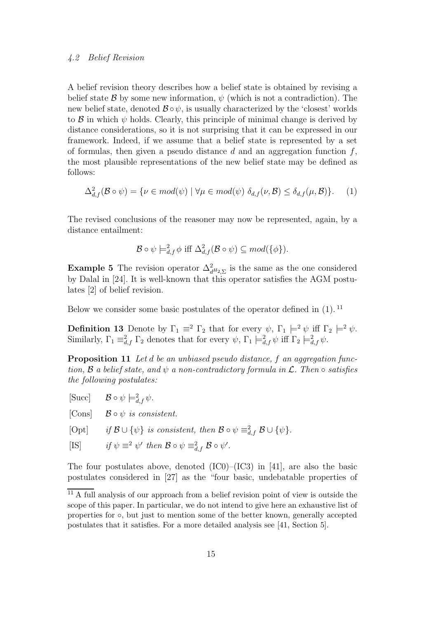# 4.2 Belief Revision

A belief revision theory describes how a belief state is obtained by revising a belief state B by some new information,  $\psi$  (which is not a contradiction). The new belief state, denoted  $\mathcal{B} \circ \psi$ , is usually characterized by the 'closest' worlds to  $\beta$  in which  $\psi$  holds. Clearly, this principle of minimal change is derived by distance considerations, so it is not surprising that it can be expressed in our framework. Indeed, if we assume that a belief state is represented by a set of formulas, then given a pseudo distance  $d$  and an aggregation function  $f$ , the most plausible representations of the new belief state may be defined as follows:

$$
\Delta_{d,f}^2(\mathcal{B} \circ \psi) = \{ \nu \in mod(\psi) \mid \forall \mu \in mod(\psi) \ \delta_{d,f}(\nu,\mathcal{B}) \leq \delta_{d,f}(\mu,\mathcal{B}) \}. \tag{1}
$$

The revised conclusions of the reasoner may now be represented, again, by a distance entailment:

$$
\mathcal{B} \circ \psi \models^2_{d,f} \phi \text{ iff } \Delta^2_{d,f}(\mathcal{B} \circ \psi) \subseteq \text{mod}(\{\phi\}).
$$

**Example 5** The revision operator  $\Delta_{d^H2,\Sigma}^2$  is the same as the one considered by Dalal in [24]. It is well-known that this operator satisfies the AGM postulates [2] of belief revision.

Below we consider some basic postulates of the operator defined in (1). <sup>11</sup>

**Definition 13** Denote by  $\Gamma_1 \equiv^2 \Gamma_2$  that for every  $\psi$ ,  $\Gamma_1 \models^2 \psi$  iff  $\Gamma_2 \models^2 \psi$ . Similarly,  $\Gamma_1 \equiv_{d,f}^2 \Gamma_2$  denotes that for every  $\psi$ ,  $\Gamma_1 \models_{d,f}^2 \psi$  iff  $\Gamma_2 \models_{d,f}^2 \psi$ .

**Proposition 11** Let d be an unbiased pseudo distance, f an aggregation function,  $\mathcal B$  a belief state, and  $\psi$  a non-contradictory formula in  $\mathcal L$ . Then  $\circ$  satisfies the following postulates:

 $[\text{Succ}]$   $\mathcal{B} \circ \psi \models_{d,f}^2 \psi.$ 

[Cons]  $\mathcal{B} \circ \psi$  is consistent.

[Opt] if  $\mathcal{B} \cup {\psi}$  is consistent, then  $\mathcal{B} \circ \psi \equiv_{d,f}^2 \mathcal{B} \cup {\psi}.$ 

[IS] if 
$$
\psi \equiv^2 \psi'
$$
 then  $\mathcal{B} \circ \psi \equiv^2_{d,f} \mathcal{B} \circ \psi'$ .

The four postulates above, denoted  $(IC0)–(IC3)$  in [41], are also the basic postulates considered in [27] as the "four basic, undebatable properties of

 $\frac{11}{11}$  A full analysis of our approach from a belief revision point of view is outside the scope of this paper. In particular, we do not intend to give here an exhaustive list of properties for ○, but just to mention some of the better known, generally accepted postulates that it satisfies. For a more detailed analysis see [41, Section 5].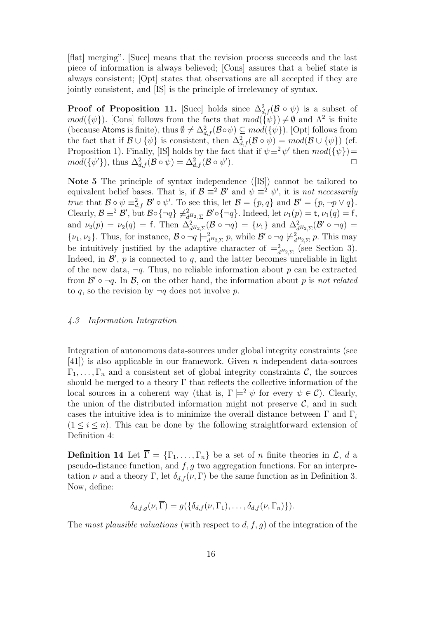[flat] merging". [Succ] means that the revision process succeeds and the last piece of information is always believed; [Cons] assures that a belief state is always consistent; [Opt] states that observations are all accepted if they are jointly consistent, and [IS] is the principle of irrelevancy of syntax.

**Proof of Proposition 11.** [Succ] holds since  $\Delta_{d,f}^2(\mathcal{B} \circ \psi)$  is a subset of  $mod({\psi})$ . [Cons] follows from the facts that  $mod({\psi}) \neq \emptyset$  and  $\Lambda^2$  is finite (because Atoms is finite), thus  $\emptyset \neq \Delta^2_{d,f}(\mathcal{B} \circ \psi) \subseteq \mathcal{O}(\{\psi\})$ . [Opt] follows from the fact that if  $\mathcal{B} \cup \{\psi\}$  is consistent, then  $\Delta^2_{d,f}(\mathcal{B} \circ \psi) = mod(\mathcal{B} \cup \{\psi\})$  (cf. Proposition 1). Finally, [IS] holds by the fact that if  $\psi \equiv 2\psi'$  then  $mod(\{\psi\})=$  $mod(\{\psi'\}),$  thus  $\Delta^2_{d,f}(\mathcal{B} \circ \psi) = \Delta^2_{d,f}(\mathcal{B} \circ \psi')$ ).  $\qquad \qquad \Box$ 

Note 5 The principle of syntax independence ([IS]) cannot be tailored to equivalent belief bases. That is, if  $\mathcal{B} \equiv^2 \mathcal{B}'$  and  $\psi \equiv^2 \psi'$ , it is not necessarily true that  $\mathcal{B} \circ \psi \equiv_{d,f}^2 \mathcal{B}' \circ \psi'.$  To see this, let  $\mathcal{B} = \{p, q\}$  and  $\mathcal{B}' = \{p, \neg p \vee q\}.$ Clearly,  $\mathcal{B} \equiv^2 \mathcal{B}'$ , but  $\mathcal{B} \circ {\{\neg q\}} \not\equiv_{d^H_2, \Sigma}^2 \mathcal{B}' \circ {\{\neg q\}}$ . Indeed, let  $\nu_1(p) = \mathsf{t}, \nu_1(q) = \mathsf{f},$ and  $\nu_2(p) = \nu_2(q) = \text{f}$ . Then  $\Delta^2_{d^H2, \Sigma}(\mathcal{B} \circ \neg q) = {\nu_1}$  and  $\Delta^2_{d^H2, \Sigma}(\mathcal{B}' \circ \neg q) =$  $\{\nu_1, \nu_2\}$ . Thus, for instance,  $\mathcal{B} \circ \neg q \models^2_{d^H Z, \Sigma} p$ , while  $\mathcal{B}' \circ \neg q \not\models^2_{d^H Z, \Sigma} p$ . This may be intuitively justified by the adaptive character of  $\models^2_{d^H2,\Sigma}$  (see Section 3). Indeed, in  $\mathcal{B}'$ , p is connected to q, and the latter becomes unreliable in light of the new data,  $\neg q$ . Thus, no reliable information about p can be extracted from  $\mathcal{B}' \circ \neg q$ . In  $\mathcal{B}$ , on the other hand, the information about p is not related to q, so the revision by  $\neg q$  does not involve p.

# 4.3 Information Integration

Integration of autonomous data-sources under global integrity constraints (see [41]) is also applicable in our framework. Given n independent data-sources  $\Gamma_1, \ldots, \Gamma_n$  and a consistent set of global integrity constraints C, the sources should be merged to a theory  $\Gamma$  that reflects the collective information of the local sources in a coherent way (that is,  $\Gamma \models^2 \psi$  for every  $\psi \in \mathcal{C}$ ). Clearly, the union of the distributed information might not preserve  $\mathcal{C}$ , and in such cases the intuitive idea is to minimize the overall distance between  $\Gamma$  and  $\Gamma_i$  $(1 \leq i \leq n)$ . This can be done by the following straightforward extension of Definition 4:

**Definition 14** Let  $\overline{\Gamma} = {\Gamma_1, \ldots, \Gamma_n}$  be a set of *n* finite theories in  $\mathcal{L}$ , *d* a pseudo-distance function, and  $f, g$  two aggregation functions. For an interpretation  $\nu$  and a theory Γ, let  $\delta_{d,f}(\nu,\Gamma)$  be the same function as in Definition 3. Now, define:

$$
\delta_{d,f,g}(\nu,\overline{\Gamma})=g(\{\delta_{d,f}(\nu,\Gamma_1),\ldots,\delta_{d,f}(\nu,\Gamma_n)\}).
$$

The most plausible valuations (with respect to  $d, f, g$ ) of the integration of the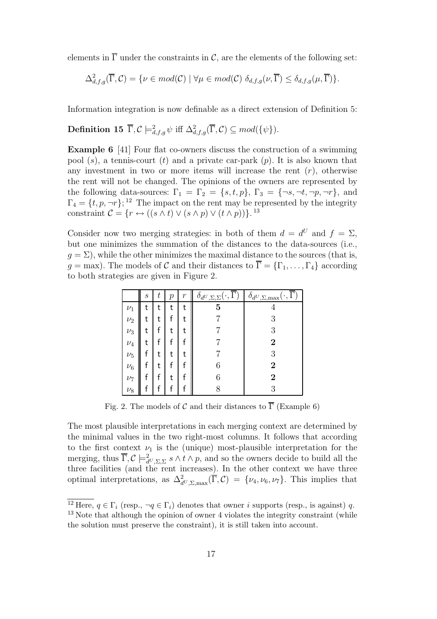elements in  $\overline{\Gamma}$  under the constraints in C, are the elements of the following set:

$$
\Delta^2_{d,f,g}(\overline{\Gamma},\mathcal{C}) = \{ \nu \in mod(\mathcal{C}) \mid \forall \mu \in mod(\mathcal{C}) \, \delta_{d,f,g}(\nu,\overline{\Gamma}) \leq \delta_{d,f,g}(\mu,\overline{\Gamma}) \}.
$$

Information integration is now definable as a direct extension of Definition 5:

**Definition 15**  $\overline{\Gamma}, \mathcal{C} \models^2_{d,f,g} \psi \text{ iff } \Delta^2_{d,f,g}(\overline{\Gamma}, \mathcal{C}) \subseteq mod(\{\psi\}).$ 

Example 6 [41] Four flat co-owners discuss the construction of a swimming pool  $(s)$ , a tennis-court  $(t)$  and a private car-park  $(p)$ . It is also known that any investment in two or more items will increase the rent  $(r)$ , otherwise the rent will not be changed. The opinions of the owners are represented by the following data-sources:  $\Gamma_1 = \Gamma_2 = \{s, t, p\}, \Gamma_3 = \{\neg s, \neg t, \neg p, \neg r\}, \text{ and}$  $\Gamma_4 = \{t, p, \neg r\};$ <sup>12</sup> The impact on the rent may be represented by the integrity constraint  $\mathcal{C} = \{r \leftrightarrow ((s \wedge t) \vee (s \wedge p) \vee (t \wedge p))\}.$ <sup>13</sup>

Consider now two merging strategies: in both of them  $d = d^U$  and  $f = \Sigma$ , but one minimizes the summation of the distances to the data-sources (i.e.,  $q = \Sigma$ ), while the other minimizes the maximal distance to the sources (that is,  $g = \text{max}$ ). The models of C and their distances to  $\overline{\Gamma} = {\Gamma_1, \dots, \Gamma_4}$  according to both strategies are given in Figure 2.

|         | $\boldsymbol{s}$ | $\,t$ | р | $\mathcal{r}$ | $\delta_{d^U, \Sigma, \Sigma}(\cdot, \overline{\Gamma})$ | $\langle \cdot, \overline{\Gamma} \rangle$<br>$\delta_{d^U,\Sigma,\max}(\cdot,$ |
|---------|------------------|-------|---|---------------|----------------------------------------------------------|---------------------------------------------------------------------------------|
| $\nu_1$ | t                | t     | t | t             | 5                                                        |                                                                                 |
| $\nu_2$ |                  | t     |   | t             |                                                          | 3                                                                               |
| $\nu_3$ | t                | t     | t | t             |                                                          | 3                                                                               |
| $\nu_4$ | t                |       |   |               |                                                          | 2                                                                               |
| $\nu_5$ |                  | t     | t | t             |                                                          | 3                                                                               |
| $\nu_6$ |                  | t     |   |               | 6                                                        | 2                                                                               |
| $\nu_7$ |                  | f     | t |               | 6                                                        | 2                                                                               |
| $\nu_8$ |                  | f     | f | f             |                                                          | 3                                                                               |

Fig. 2. The models of C and their distances to  $\overline{\Gamma}$  (Example 6)

The most plausible interpretations in each merging context are determined by the minimal values in the two right-most columns. It follows that according to the first context  $\nu_1$  is the (unique) most-plausible interpretation for the merging, thus  $\overline{\Gamma}, \mathcal{C} \models_{d^U, \Sigma, \Sigma}^2 s \wedge t \wedge p$ , and so the owners decide to build all the three facilities (and the rent increases). In the other context we have three optimal interpretations, as  $\Delta^2_{d^U,\Sigma,\max}(\overline{\Gamma},\mathcal{C}) = \{\nu_4,\nu_6,\nu_7\}$ . This implies that

<sup>&</sup>lt;sup>12</sup> Here,  $q \in \Gamma_i$  (resp.,  $\neg q \in \Gamma_i$ ) denotes that owner i supports (resp., is against) q. <sup>13</sup> Note that although the opinion of owner 4 violates the integrity constraint (while the solution must preserve the constraint), it is still taken into account.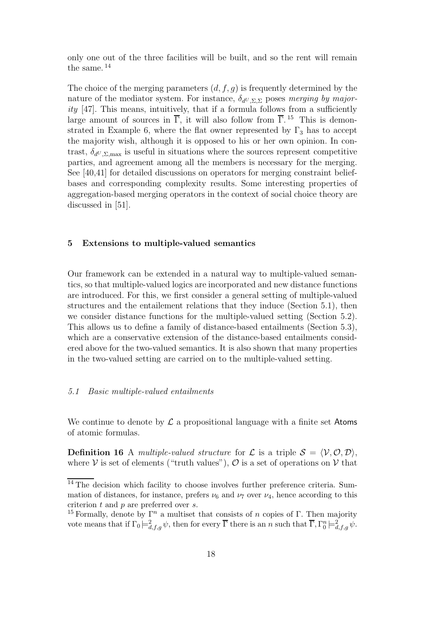only one out of the three facilities will be built, and so the rent will remain the same. <sup>14</sup>

The choice of the merging parameters  $(d, f, g)$  is frequently determined by the nature of the mediator system. For instance,  $\delta_{d^U, \Sigma, \Sigma}$  poses merging by majority [47]. This means, intuitively, that if a formula follows from a sufficiently large amount of sources in  $\overline{\Gamma}$ , it will also follow from  $\overline{\Gamma}$ .<sup>15</sup> This is demonstrated in Example 6, where the flat owner represented by  $\Gamma_3$  has to accept the majority wish, although it is opposed to his or her own opinion. In contrast,  $\delta_{dU,\Sigma,\text{max}}$  is useful in situations where the sources represent competitive parties, and agreement among all the members is necessary for the merging. See [40,41] for detailed discussions on operators for merging constraint beliefbases and corresponding complexity results. Some interesting properties of aggregation-based merging operators in the context of social choice theory are discussed in [51].

# 5 Extensions to multiple-valued semantics

Our framework can be extended in a natural way to multiple-valued semantics, so that multiple-valued logics are incorporated and new distance functions are introduced. For this, we first consider a general setting of multiple-valued structures and the entailement relations that they induce (Section 5.1), then we consider distance functions for the multiple-valued setting (Section 5.2). This allows us to define a family of distance-based entailments (Section 5.3), which are a conservative extension of the distance-based entailments considered above for the two-valued semantics. It is also shown that many properties in the two-valued setting are carried on to the multiple-valued setting.

# 5.1 Basic multiple-valued entailments

We continue to denote by  $\mathcal L$  a propositional language with a finite set Atoms of atomic formulas.

**Definition 16** A *multiple-valued structure* for  $\mathcal{L}$  is a triple  $\mathcal{S} = \langle \mathcal{V}, \mathcal{O}, \mathcal{D} \rangle$ , where  $V$  is set of elements ("truth values"),  $\mathcal{O}$  is a set of operations on  $V$  that

 $\overline{^{14}$  The decision which facility to choose involves further preference criteria. Summation of distances, for instance, prefers  $\nu_6$  and  $\nu_7$  over  $\nu_4$ , hence according to this criterion  $t$  and  $p$  are preferred over  $s$ .

<sup>&</sup>lt;sup>15</sup> Formally, denote by  $\Gamma^n$  a multiset that consists of n copies of Γ. Then majority vote means that if  $\Gamma_0 \models^2_{d,f,g} \psi$ , then for every  $\overline{\Gamma}$  there is an n such that  $\overline{\Gamma}, \Gamma_0^n \models^2_{d,f,g} \psi$ .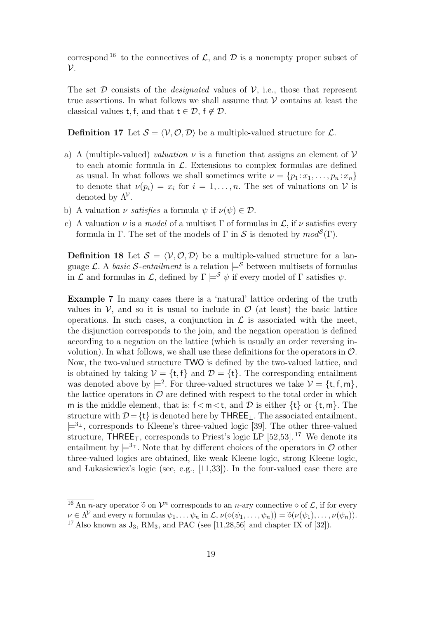correspond <sup>16</sup> to the connectives of  $\mathcal{L}$ , and  $\mathcal{D}$  is a nonempty proper subset of  $\mathcal{V}$ .

The set  $\mathcal D$  consists of the *designated* values of  $\mathcal V$ , i.e., those that represent true assertions. In what follows we shall assume that  $\mathcal V$  contains at least the classical values t, f, and that  $t \in \mathcal{D}$ ,  $f \notin \mathcal{D}$ .

**Definition 17** Let  $S = \langle V, \mathcal{O}, \mathcal{D} \rangle$  be a multiple-valued structure for  $\mathcal{L}$ .

- a) A (multiple-valued) valuation  $\nu$  is a function that assigns an element of  $\nu$ to each atomic formula in  $\mathcal{L}$ . Extensions to complex formulas are defined as usual. In what follows we shall sometimes write  $\nu = \{p_1 : x_1, \ldots, p_n : x_n\}$ to denote that  $\nu(p_i) = x_i$  for  $i = 1, ..., n$ . The set of valuations on V is denoted by  $\Lambda^{\mathcal{V}}$ .
- b) A valuation  $\nu$  satisfies a formula  $\psi$  if  $\nu(\psi) \in \mathcal{D}$ .
- c) A valuation  $\nu$  is a *model* of a multiset  $\Gamma$  of formulas in  $\mathcal{L}$ , if  $\nu$  satisfies every formula in Γ. The set of the models of Γ in S is denoted by  $mod^{\mathcal{S}}(\Gamma)$ .

**Definition 18** Let  $S = \langle V, \mathcal{O}, \mathcal{D} \rangle$  be a multiple-valued structure for a language L. A basic S-entailment is a relation  $\models^{\mathcal{S}}$  between multisets of formulas in  $\mathcal L$  and formulas in  $\mathcal L$ , defined by  $\Gamma \models^{\mathcal S} \psi$  if every model of  $\Gamma$  satisfies  $\psi$ .

Example 7 In many cases there is a 'natural' lattice ordering of the truth values in  $\mathcal V$ , and so it is usual to include in  $\mathcal O$  (at least) the basic lattice operations. In such cases, a conjunction in  $\mathcal L$  is associated with the meet, the disjunction corresponds to the join, and the negation operation is defined according to a negation on the lattice (which is usually an order reversing involution). In what follows, we shall use these definitions for the operators in  $\mathcal{O}$ . Now, the two-valued structure TWO is defined by the two-valued lattice, and is obtained by taking  $V = \{t, f\}$  and  $\mathcal{D} = \{t\}$ . The corresponding entailment was denoted above by  $\models^2$ . For three-valued structures we take  $\mathcal{V} = \{\mathsf{t}, \mathsf{f}, \mathsf{m}\},\$ the lattice operators in  $\mathcal O$  are defined with respect to the total order in which m is the middle element, that is:  $f < m < t$ , and D is either  $\{t\}$  or  $\{t, m\}$ . The structure with  $D=\{t\}$  is denoted here by THREE<sub>⊥</sub>. The associated entailment,  $\models^{3_+}$ , corresponds to Kleene's three-valued logic [39]. The other three-valued structure, THREE<sub>⊤</sub>, corresponds to Priest's logic LP [52,53].<sup>17</sup> We denote its entailment by  $\models^{3_{\top}}$ . Note that by different choices of the operators in  $\mathcal O$  other three-valued logics are obtained, like weak Kleene logic, strong Kleene logic, and Lukasiewicz's logic (see, e.g., [11,33]). In the four-valued case there are

<sup>&</sup>lt;sup>16</sup> An *n*-ary operator  $\tilde{\diamond}$  on  $\mathcal{V}^n$  corresponds to an *n*-ary connective  $\diamond$  of  $\mathcal{L}$ , if for every  $\nu \in \Lambda^{\mathcal{V}}$  and every n formulas  $\psi_1, \ldots, \psi_n$  in  $\mathcal{L}, \nu(\diamond(\psi_1, \ldots, \psi_n)) = \tilde{\diamond}(\nu(\psi_1), \ldots, \nu(\psi_n)).$ <sup>17</sup> Also known as  $J_3$ , RM<sub>3</sub>, and PAC (see [11,28,56] and chapter IX of [32]).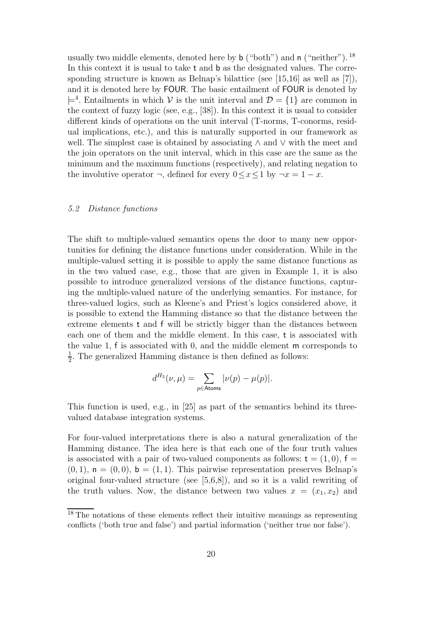usually two middle elements, denoted here by  $\mathfrak b$  ("both") and  $\mathfrak n$  ("neither"). <sup>18</sup> In this context it is usual to take t and b as the designated values. The corresponding structure is known as Belnap's bilattice (see [15,16] as well as [7]), and it is denoted here by FOUR. The basic entailment of FOUR is denoted by  $\models^4$ . Entailments in which V is the unit interval and  $\mathcal{D} = \{1\}$  are common in the context of fuzzy logic (see, e.g., [38]). In this context it is usual to consider different kinds of operations on the unit interval (T-norms, T-conorms, residual implications, etc.), and this is naturally supported in our framework as well. The simplest case is obtained by associating ∧ and ∨ with the meet and the join operators on the unit interval, which in this case are the same as the minimum and the maximum functions (respectively), and relating negation to the involutive operator  $\neg$ , defined for every  $0 \leq x \leq 1$  by  $\neg x = 1 - x$ .

#### 5.2 Distance functions

The shift to multiple-valued semantics opens the door to many new opportunities for defining the distance functions under consideration. While in the multiple-valued setting it is possible to apply the same distance functions as in the two valued case, e.g., those that are given in Example 1, it is also possible to introduce generalized versions of the distance functions, capturing the multiple-valued nature of the underlying semantics. For instance, for three-valued logics, such as Kleene's and Priest's logics considered above, it is possible to extend the Hamming distance so that the distance between the extreme elements t and f will be strictly bigger than the distances between each one of them and the middle element. In this case, t is associated with the value 1, f is associated with 0, and the middle element m corresponds to 1  $\frac{1}{2}$ . The generalized Hamming distance is then defined as follows:

$$
d^{H_3}(\nu,\mu)=\sum_{p\in\text{Atoms}}|\nu(p)-\mu(p)|.
$$

This function is used, e.g., in [25] as part of the semantics behind its threevalued database integration systems.

For four-valued interpretations there is also a natural generalization of the Hamming distance. The idea here is that each one of the four truth values is associated with a pair of two-valued components as follows:  $t = (1, 0)$ ,  $f =$  $(0, 1)$ ,  $\mathsf{n} = (0, 0)$ ,  $\mathsf{b} = (1, 1)$ . This pairwise representation preserves Belnap's original four-valued structure (see [5,6,8]), and so it is a valid rewriting of the truth values. Now, the distance between two values  $x = (x_1, x_2)$  and

<sup>&</sup>lt;sup>18</sup> The notations of these elements reflect their intuitive meanings as representing conflicts ('both true and false') and partial information ('neither true nor false').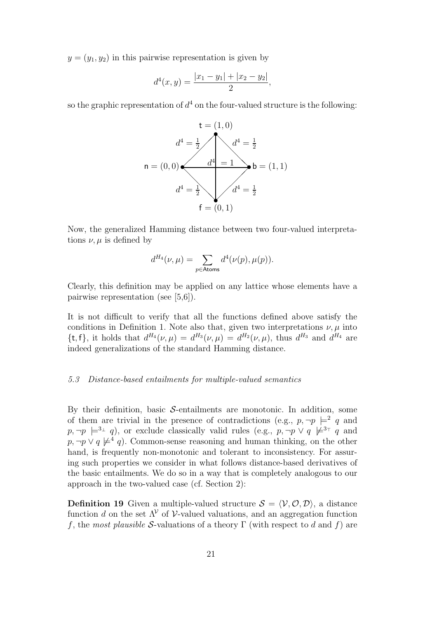$y = (y_1, y_2)$  in this pairwise representation is given by

$$
d^4(x,y) = \frac{|x_1 - y_1| + |x_2 - y_2|}{2},
$$

so the graphic representation of  $d^4$  on the four-valued structure is the following:



Now, the generalized Hamming distance between two four-valued interpretations  $\nu$ ,  $\mu$  is defined by

$$
d^{H_4}(\nu,\mu) = \sum_{p \in \text{Atoms}} d^4(\nu(p), \mu(p)).
$$

Clearly, this definition may be applied on any lattice whose elements have a pairwise representation (see [5,6]).

It is not difficult to verify that all the functions defined above satisfy the conditions in Definition 1. Note also that, given two interpretations  $\nu$ ,  $\mu$  into {t, f}, it holds that  $d^{H_4}(\nu,\mu) = d^{H_3}(\nu,\mu) = d^{H_2}(\nu,\mu)$ , thus  $d^{H_3}$  and  $d^{H_4}$  are indeed generalizations of the standard Hamming distance.

#### 5.3 Distance-based entailments for multiple-valued semantics

By their definition, basic  $S$ -entailments are monotonic. In addition, some of them are trivial in the presence of contradictions (e.g.,  $p, \neg p \models^2 q$  and  $p, \neg p \models^{3_\perp} q$ , or exclude classically valid rules (e.g.,  $p, \neg p \lor q \not\models^{3_\top} q$  and  $p, \neg p \lor q \not\models^4 q$ . Common-sense reasoning and human thinking, on the other hand, is frequently non-monotonic and tolerant to inconsistency. For assuring such properties we consider in what follows distance-based derivatives of the basic entailments. We do so in a way that is completely analogous to our approach in the two-valued case (cf. Section 2):

**Definition 19** Given a multiple-valued structure  $S = \langle V, \mathcal{O}, \mathcal{D} \rangle$ , a distance function d on the set  $\Lambda^{\mathcal{V}}$  of  $\mathcal{V}$ -valued valuations, and an aggregation function f, the most plausible S-valuations of a theory  $\Gamma$  (with respect to d and f) are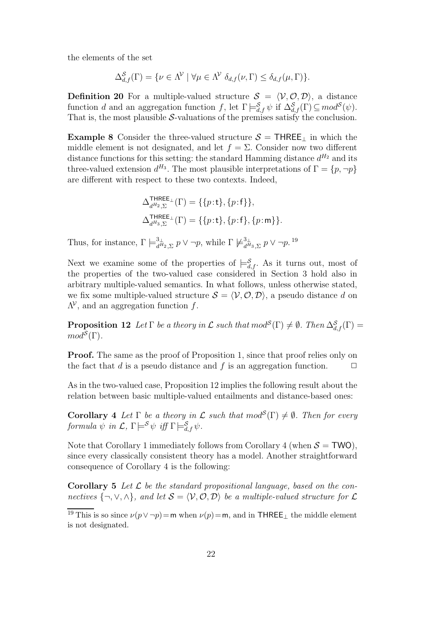the elements of the set

$$
\Delta_{d,f}^{\mathcal{S}}(\Gamma) = \{ \nu \in \Lambda^{\mathcal{V}} \mid \forall \mu \in \Lambda^{\mathcal{V}} \; \delta_{d,f}(\nu,\Gamma) \leq \delta_{d,f}(\mu,\Gamma) \}.
$$

**Definition 20** For a multiple-valued structure  $S = \langle V, \mathcal{O}, \mathcal{D} \rangle$ , a distance function d and an aggregation function f, let  $\Gamma \models_{d,f}^{\mathcal{S}} \psi$  if  $\Delta_{d,f}^{\mathcal{S}}(\Gamma) \subseteq mod^{\mathcal{S}}(\psi)$ . That is, the most plausible  $S$ -valuations of the premises satisfy the conclusion.

**Example 8** Consider the three-valued structure  $S = \text{THREE}_{\perp}$  in which the middle element is not designated, and let  $f = \Sigma$ . Consider now two different distance functions for this setting: the standard Hamming distance  $d^{H_2}$  and its three-valued extension  $d^{H_3}$ . The most plausible interpretations of  $\Gamma = \{p, \neg p\}$ are different with respect to these two contexts. Indeed,

$$
\begin{aligned} &\Delta_{d^{H_2},\Sigma}^{\text{HREE}_\bot}(\Gamma)=\{\{p\!:\!{\bf t}\},\{p\!:\!{\bf f}\}\},\\ &\Delta_{d^{H_3},\Sigma}^{\text{HREE}_\bot}(\Gamma)=\{\{p\!:\!{\bf t}\},\{p\!:\!{\bf f}\},\{p\!:\!{\bf m}\}\}. \end{aligned}
$$

Thus, for instance,  $\Gamma \models^3_{d^H}$  $\frac{3}{d^{H_2},\Sigma} p \vee \neg p$ , while  $\Gamma \not\models_{d}^{3_{\perp}}$  $\frac{3_{\perp}}{d^{H_3},\Sigma} \, p \vee \neg p.$   $^{19}$ 

Next we examine some of the properties of  $\models^{\mathcal{S}}_{d,f}$ . As it turns out, most of the properties of the two-valued case considered in Section 3 hold also in arbitrary multiple-valued semantics. In what follows, unless otherwise stated, we fix some multiple-valued structure  $S = \langle V, O, D \rangle$ , a pseudo distance d on  $\Lambda^{\mathcal{V}}$ , and an aggregation function f.

**Proposition 12** Let  $\Gamma$  be a theory in  $\mathcal L$  such that  $mod^{\mathcal S}(\Gamma) \neq \emptyset$ . Then  $\Delta^{\mathcal S}_{d,f}(\Gamma) =$  $mod^{\mathcal{S}}(\Gamma).$ 

**Proof.** The same as the proof of Proposition 1, since that proof relies only on the fact that d is a pseudo distance and f is an aggregation function.  $\Box$ 

As in the two-valued case, Proposition 12 implies the following result about the relation between basic multiple-valued entailments and distance-based ones:

**Corollary** 4 Let  $\Gamma$  be a theory in  $\mathcal L$  such that  $mod^{\mathcal S}(\Gamma) \neq \emptyset$ . Then for every  $formula \psi in \mathcal{L}, \Gamma \models^{\mathcal{S}} \psi iff \Gamma \models^{\mathcal{S}}_{d,f} \psi.$ 

Note that Corollary 1 immediately follows from Corollary 4 (when  $S = TWO$ ), since every classically consistent theory has a model. Another straightforward consequence of Corollary 4 is the following:

**Corollary 5** Let  $\mathcal{L}$  be the standard propositional language, based on the connectives  $\{\neg, \vee, \wedge\}$ , and let  $S = \langle V, O, D \rangle$  be a multiple-valued structure for  $\mathcal L$ 

<sup>&</sup>lt;sup>19</sup> This is so since  $\nu(p \vee \neg p) = m$  when  $\nu(p) = m$ , and in THREE<sub>⊥</sub> the middle element is not designated.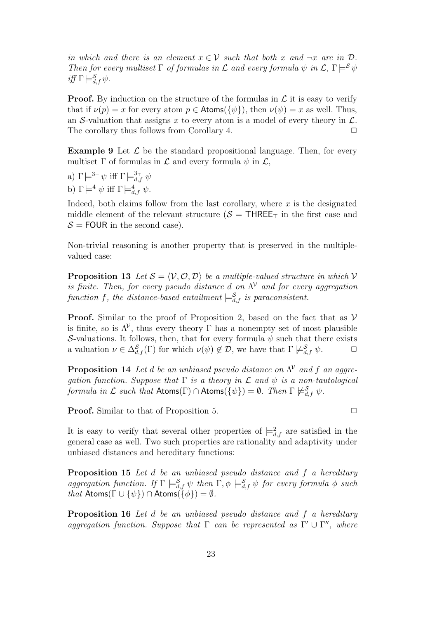in which and there is an element  $x \in V$  such that both x and  $\neg x$  are in  $D$ . Then for every multiset  $\Gamma$  of formulas in  $\mathcal L$  and every formula  $\psi$  in  $\mathcal L$ ,  $\Gamma \models^{\mathcal S} \psi$ iff  $\Gamma \models^{\mathcal{S}}_{d,f} \psi$ .

**Proof.** By induction on the structure of the formulas in  $\mathcal{L}$  it is easy to verify that if  $\nu(p) = x$  for every atom  $p \in$  Atoms( $\{\psi\}$ ), then  $\nu(\psi) = x$  as well. Thus, an S-valuation that assigns x to every atom is a model of every theory in  $\mathcal{L}$ . The corollary thus follows from Corollary 4.  $\Box$ 

**Example 9** Let  $\mathcal{L}$  be the standard propositional language. Then, for every multiset  $\Gamma$  of formulas in  $\mathcal L$  and every formula  $\psi$  in  $\mathcal L$ ,

a)  $\Gamma \models^{3_\top} \psi$  iff  $\Gamma \models^{3_\top}_{d,f} \psi$ b)  $\Gamma \models^4 \psi$  iff  $\Gamma \models^4_{d,f} \psi$ .

Indeed, both claims follow from the last corollary, where  $x$  is the designated middle element of the relevant structure ( $S = \text{THREE}_T$  in the first case and  $S =$  FOUR in the second case).

Non-trivial reasoning is another property that is preserved in the multiplevalued case:

**Proposition 13** Let  $S = \langle V, \mathcal{O}, \mathcal{D} \rangle$  be a multiple-valued structure in which V is finite. Then, for every pseudo distance d on  $\Lambda^{\mathcal{V}}$  and for every aggregation function f, the distance-based entailment  $\models_{d,f}^{\mathcal{S}}$  is paraconsistent.

**Proof.** Similar to the proof of Proposition 2, based on the fact that as  $V$ is finite, so is  $\Lambda^{\mathcal{V}}$ , thus every theory  $\Gamma$  has a nonempty set of most plausible S-valuations. It follows, then, that for every formula  $\psi$  such that there exists a valuation  $\nu \in \Delta_{d,f}^{\mathcal{S}}(\Gamma)$  for which  $\nu(\psi) \notin \mathcal{D}$ , we have that  $\Gamma \not\models_{d,f}^{\mathcal{S}} \psi$ .

**Proposition 14** Let d be an unbiased pseudo distance on  $\Lambda^{\mathcal{V}}$  and f an aggregation function. Suppose that  $\Gamma$  is a theory in  $\mathcal L$  and  $\psi$  is a non-tautological formula in  $\mathcal L$  such that  $\mathsf{Atoms}(\Gamma) \cap \mathsf{Atoms}(\{\psi\}) = \emptyset$ . Then  $\Gamma \not\models^{\mathcal S}_{d,f} \psi$ .

**Proof.** Similar to that of Proposition 5. **□** 

It is easy to verify that several other properties of  $\equiv_{d,f}^2$  are satisfied in the general case as well. Two such properties are rationality and adaptivity under unbiased distances and hereditary functions:

Proposition 15 Let d be an unbiased pseudo distance and f a hereditary aggregation function. If  $\Gamma \models_{d,f}^{\mathcal{S}} \psi$  then  $\Gamma, \phi \models_{d,f}^{\mathcal{S}} \psi$  for every formula  $\phi$  such that Atoms( $\Gamma \cup {\psi}$ ) ∩ Atoms( $\widetilde{\phi}$ ) =  $\emptyset$ .

Proposition 16 Let d be an unbiased pseudo distance and f a hereditary aggregation function. Suppose that  $\Gamma$  can be represented as  $\Gamma' \cup \Gamma''$ , where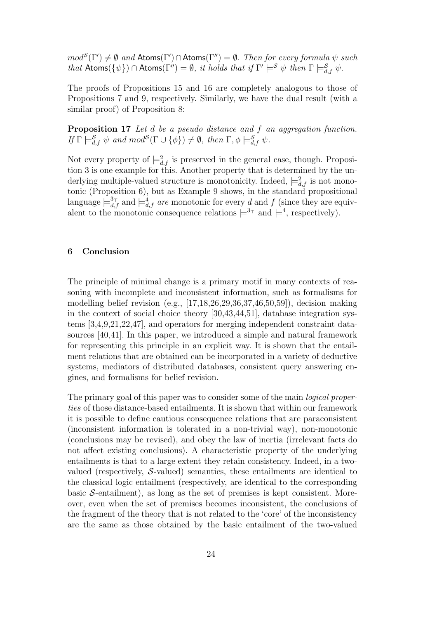$mod^{\mathcal{S}}(\Gamma') \neq \emptyset$  and  $\mathsf{Atoms}(\Gamma') \cap \mathsf{Atoms}(\Gamma'') = \emptyset$ . Then for every formula  $\psi$  such that  $\mathsf{Atoms}(\{\psi\}) \cap \mathsf{Atoms}(\Gamma'') = \emptyset$ , it holds that if  $\Gamma' \models^{\mathcal{S}} \psi$  then  $\Gamma \models^{\mathcal{S}}_{d,f} \psi$ .

The proofs of Propositions 15 and 16 are completely analogous to those of Propositions 7 and 9, respectively. Similarly, we have the dual result (with a similar proof) of Proposition 8:

Proposition 17 Let d be a pseudo distance and f an aggregation function. If  $\Gamma \models_{d,f}^{\mathcal{S}} \psi$  and  $mod^{\mathcal{S}}(\Gamma \cup {\phi}) \neq \emptyset$ , then  $\Gamma, \phi \models_{d,f}^{\mathcal{S}} \psi$ .

Not every property of  $\models^2_{d,f}$  is preserved in the general case, though. Proposition 3 is one example for this. Another property that is determined by the underlying multiple-valued structure is monotonicity. Indeed,  $\models_{d,f}^2$  is not monotonic (Proposition 6), but as Example 9 shows, in the standard propositional language  $\models^3_{d,f}$  and  $\models^4_{d,f}$  are monotonic for every d and f (since they are equivalent to the monotonic consequence relations  $\models^{3_{\top}}$  and  $\models^{4}$ , respectively).

#### 6 Conclusion

The principle of minimal change is a primary motif in many contexts of reasoning with incomplete and inconsistent information, such as formalisms for modelling belief revision (e.g., [17,18,26,29,36,37,46,50,59]), decision making in the context of social choice theory [30,43,44,51], database integration systems [3,4,9,21,22,47], and operators for merging independent constraint datasources [40,41]. In this paper, we introduced a simple and natural framework for representing this principle in an explicit way. It is shown that the entailment relations that are obtained can be incorporated in a variety of deductive systems, mediators of distributed databases, consistent query answering engines, and formalisms for belief revision.

The primary goal of this paper was to consider some of the main logical properties of those distance-based entailments. It is shown that within our framework it is possible to define cautious consequence relations that are paraconsistent (inconsistent information is tolerated in a non-trivial way), non-monotonic (conclusions may be revised), and obey the law of inertia (irrelevant facts do not affect existing conclusions). A characteristic property of the underlying entailments is that to a large extent they retain consistency. Indeed, in a twovalued (respectively, S-valued) semantics, these entailments are identical to the classical logic entailment (respectively, are identical to the corresponding basic  $S$ -entailment), as long as the set of premises is kept consistent. Moreover, even when the set of premises becomes inconsistent, the conclusions of the fragment of the theory that is not related to the 'core' of the inconsistency are the same as those obtained by the basic entailment of the two-valued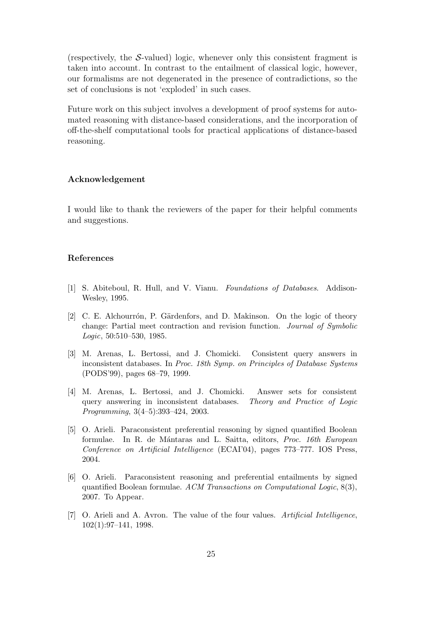(respectively, the  $S$ -valued) logic, whenever only this consistent fragment is taken into account. In contrast to the entailment of classical logic, however, our formalisms are not degenerated in the presence of contradictions, so the set of conclusions is not 'exploded' in such cases.

Future work on this subject involves a development of proof systems for automated reasoning with distance-based considerations, and the incorporation of off-the-shelf computational tools for practical applications of distance-based reasoning.

#### Acknowledgement

I would like to thank the reviewers of the paper for their helpful comments and suggestions.

# References

- [1] S. Abiteboul, R. Hull, and V. Vianu. Foundations of Databases. Addison-Wesley, 1995.
- [2] C. E. Alchourrón, P. Gärdenfors, and D. Makinson. On the logic of theory change: Partial meet contraction and revision function. Journal of Symbolic Logic, 50:510–530, 1985.
- [3] M. Arenas, L. Bertossi, and J. Chomicki. Consistent query answers in inconsistent databases. In Proc. 18th Symp. on Principles of Database Systems (PODS'99), pages 68–79, 1999.
- [4] M. Arenas, L. Bertossi, and J. Chomicki. Answer sets for consistent query answering in inconsistent databases. Theory and Practice of Logic Programming, 3(4–5):393–424, 2003.
- [5] O. Arieli. Paraconsistent preferential reasoning by signed quantified Boolean formulae. In R. de Mántaras and L. Saitta, editors, *Proc. 16th European* Conference on Artificial Intelligence (ECAI'04), pages 773–777. IOS Press, 2004.
- [6] O. Arieli. Paraconsistent reasoning and preferential entailments by signed quantified Boolean formulae. ACM Transactions on Computational Logic, 8(3), 2007. To Appear.
- [7] O. Arieli and A. Avron. The value of the four values. Artificial Intelligence, 102(1):97–141, 1998.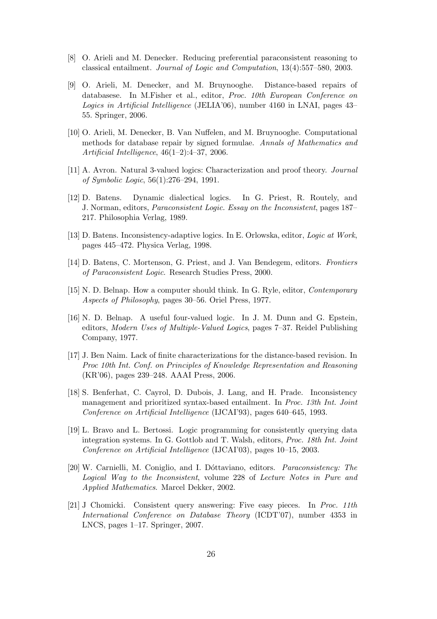- [8] O. Arieli and M. Denecker. Reducing preferential paraconsistent reasoning to classical entailment. Journal of Logic and Computation, 13(4):557–580, 2003.
- [9] O. Arieli, M. Denecker, and M. Bruynooghe. Distance-based repairs of databasese. In M.Fisher et al., editor, Proc. 10th European Conference on Logics in Artificial Intelligence (JELIA'06), number 4160 in LNAI, pages 43– 55. Springer, 2006.
- [10] O. Arieli, M. Denecker, B. Van Nuffelen, and M. Bruynooghe. Computational methods for database repair by signed formulae. Annals of Mathematics and Artificial Intelligence, 46(1–2):4–37, 2006.
- [11] A. Avron. Natural 3-valued logics: Characterization and proof theory. Journal of Symbolic Logic, 56(1):276–294, 1991.
- [12] D. Batens. Dynamic dialectical logics. In G. Priest, R. Routely, and J. Norman, editors, Paraconsistent Logic. Essay on the Inconsistent, pages 187– 217. Philosophia Verlag, 1989.
- [13] D. Batens. Inconsistency-adaptive logics. In E. Orlowska, editor, Logic at Work, pages 445–472. Physica Verlag, 1998.
- [14] D. Batens, C. Mortenson, G. Priest, and J. Van Bendegem, editors. Frontiers of Paraconsistent Logic. Research Studies Press, 2000.
- [15] N. D. Belnap. How a computer should think. In G. Ryle, editor, Contemporary Aspects of Philosophy, pages 30–56. Oriel Press, 1977.
- [16] N. D. Belnap. A useful four-valued logic. In J. M. Dunn and G. Epstein, editors, Modern Uses of Multiple-Valued Logics, pages 7–37. Reidel Publishing Company, 1977.
- [17] J. Ben Naim. Lack of finite characterizations for the distance-based revision. In Proc 10th Int. Conf. on Principles of Knowledge Representation and Reasoning (KR'06), pages 239–248. AAAI Press, 2006.
- [18] S. Benferhat, C. Cayrol, D. Dubois, J. Lang, and H. Prade. Inconsistency management and prioritized syntax-based entailment. In Proc. 13th Int. Joint Conference on Artificial Intelligence (IJCAI'93), pages 640–645, 1993.
- [19] L. Bravo and L. Bertossi. Logic programming for consistently querying data integration systems. In G. Gottlob and T. Walsh, editors, Proc. 18th Int. Joint Conference on Artificial Intelligence (IJCAI'03), pages 10–15, 2003.
- [20] W. Carnielli, M. Coniglio, and I. Dóttaviano, editors. *Paraconsistency: The* Logical Way to the Inconsistent, volume 228 of Lecture Notes in Pure and Applied Mathematics. Marcel Dekker, 2002.
- [21] J Chomicki. Consistent query answering: Five easy pieces. In Proc. 11th International Conference on Database Theory (ICDT'07), number 4353 in LNCS, pages 1–17. Springer, 2007.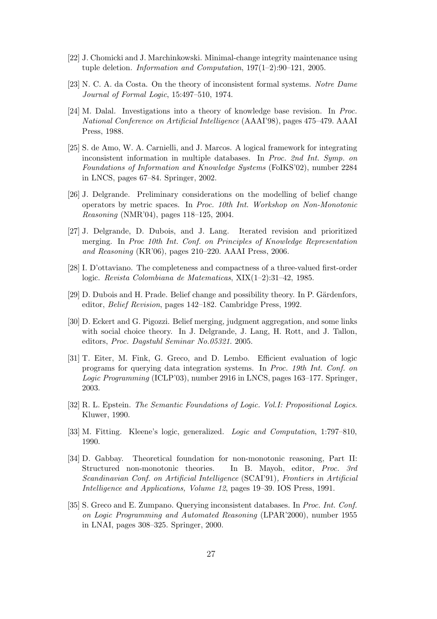- [22] J. Chomicki and J. Marchinkowski. Minimal-change integrity maintenance using tuple deletion. Information and Computation, 197(1–2):90–121, 2005.
- [23] N. C. A. da Costa. On the theory of inconsistent formal systems. Notre Dame Journal of Formal Logic, 15:497–510, 1974.
- [24] M. Dalal. Investigations into a theory of knowledge base revision. In Proc. National Conference on Artificial Intelligence (AAAI'98), pages 475–479. AAAI Press, 1988.
- [25] S. de Amo, W. A. Carnielli, and J. Marcos. A logical framework for integrating inconsistent information in multiple databases. In Proc. 2nd Int. Symp. on Foundations of Information and Knowledge Systems (FoIKS'02), number 2284 in LNCS, pages 67–84. Springer, 2002.
- [26] J. Delgrande. Preliminary considerations on the modelling of belief change operators by metric spaces. In Proc. 10th Int. Workshop on Non-Monotonic Reasoning (NMR'04), pages 118–125, 2004.
- [27] J. Delgrande, D. Dubois, and J. Lang. Iterated revision and prioritized merging. In Proc 10th Int. Conf. on Principles of Knowledge Representation and Reasoning (KR'06), pages 210–220. AAAI Press, 2006.
- [28] I. D'ottaviano. The completeness and compactness of a three-valued first-order logic. Revista Colombiana de Matematicas, XIX(1–2):31–42, 1985.
- [29] D. Dubois and H. Prade. Belief change and possibility theory. In P. Gärdenfors, editor, Belief Revision, pages 142–182. Cambridge Press, 1992.
- [30] D. Eckert and G. Pigozzi. Belief merging, judgment aggregation, and some links with social choice theory. In J. Delgrande, J. Lang, H. Rott, and J. Tallon, editors, Proc. Dagstuhl Seminar No.05321. 2005.
- [31] T. Eiter, M. Fink, G. Greco, and D. Lembo. Efficient evaluation of logic programs for querying data integration systems. In Proc. 19th Int. Conf. on Logic Programming (ICLP'03), number 2916 in LNCS, pages 163–177. Springer, 2003.
- [32] R. L. Epstein. The Semantic Foundations of Logic. Vol.I: Propositional Logics. Kluwer, 1990.
- [33] M. Fitting. Kleene's logic, generalized. Logic and Computation, 1:797–810, 1990.
- [34] D. Gabbay. Theoretical foundation for non-monotonic reasoning, Part II: Structured non-monotonic theories. In B. Mayoh, editor, Proc. 3rd Scandinavian Conf. on Artificial Intelligence (SCAI'91), Frontiers in Artificial Intelligence and Applications, Volume 12, pages 19–39. IOS Press, 1991.
- [35] S. Greco and E. Zumpano. Querying inconsistent databases. In Proc. Int. Conf. on Logic Programming and Automated Reasoning (LPAR'2000), number 1955 in LNAI, pages 308–325. Springer, 2000.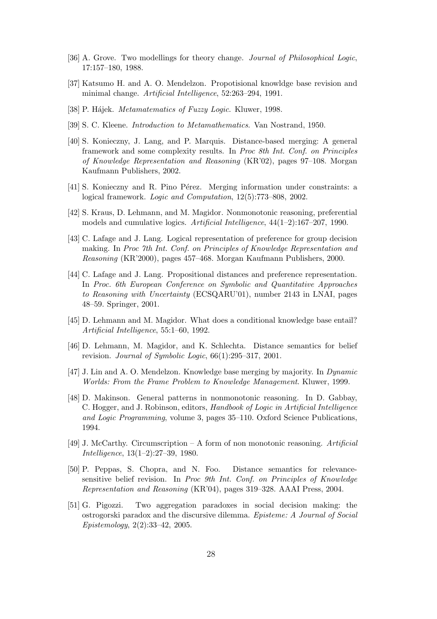- [36] A. Grove. Two modellings for theory change. Journal of Philosophical Logic, 17:157–180, 1988.
- [37] Katsumo H. and A. O. Mendelzon. Propotisional knowldge base revision and minimal change. Artificial Intelligence, 52:263–294, 1991.
- [38] P. Hájek. *Metamatematics of Fuzzy Logic*. Kluwer, 1998.
- [39] S. C. Kleene. Introduction to Metamathematics. Van Nostrand, 1950.
- [40] S. Konieczny, J. Lang, and P. Marquis. Distance-based merging: A general framework and some complexity results. In Proc 8th Int. Conf. on Principles of Knowledge Representation and Reasoning (KR'02), pages 97–108. Morgan Kaufmann Publishers, 2002.
- [41] S. Konieczny and R. Pino Pérez. Merging information under constraints: a logical framework. Logic and Computation, 12(5):773–808, 2002.
- [42] S. Kraus, D. Lehmann, and M. Magidor. Nonmonotonic reasoning, preferential models and cumulative logics. Artificial Intelligence, 44(1–2):167–207, 1990.
- [43] C. Lafage and J. Lang. Logical representation of preference for group decision making. In Proc 7th Int. Conf. on Principles of Knowledge Representation and Reasoning (KR'2000), pages 457–468. Morgan Kaufmann Publishers, 2000.
- [44] C. Lafage and J. Lang. Propositional distances and preference representation. In Proc. 6th European Conference on Symbolic and Quantitative Approaches to Reasoning with Uncertainty (ECSQARU'01), number 2143 in LNAI, pages 48–59. Springer, 2001.
- [45] D. Lehmann and M. Magidor. What does a conditional knowledge base entail? Artificial Intelligence, 55:1–60, 1992.
- [46] D. Lehmann, M. Magidor, and K. Schlechta. Distance semantics for belief revision. Journal of Symbolic Logic, 66(1):295–317, 2001.
- [47] J. Lin and A. O. Mendelzon. Knowledge base merging by majority. In Dynamic Worlds: From the Frame Problem to Knowledge Management. Kluwer, 1999.
- [48] D. Makinson. General patterns in nonmonotonic reasoning. In D. Gabbay, C. Hogger, and J. Robinson, editors, Handbook of Logic in Artificial Intelligence and Logic Programming, volume 3, pages 35–110. Oxford Science Publications, 1994.
- [49] J. McCarthy. Circumscription A form of non monotonic reasoning. Artificial Intelligence, 13(1–2):27–39, 1980.
- [50] P. Peppas, S. Chopra, and N. Foo. Distance semantics for relevancesensitive belief revision. In Proc 9th Int. Conf. on Principles of Knowledge Representation and Reasoning (KR'04), pages 319–328. AAAI Press, 2004.
- [51] G. Pigozzi. Two aggregation paradoxes in social decision making: the ostrogorski paradox and the discursive dilemma. Episteme: A Journal of Social Epistemology, 2(2):33–42, 2005.